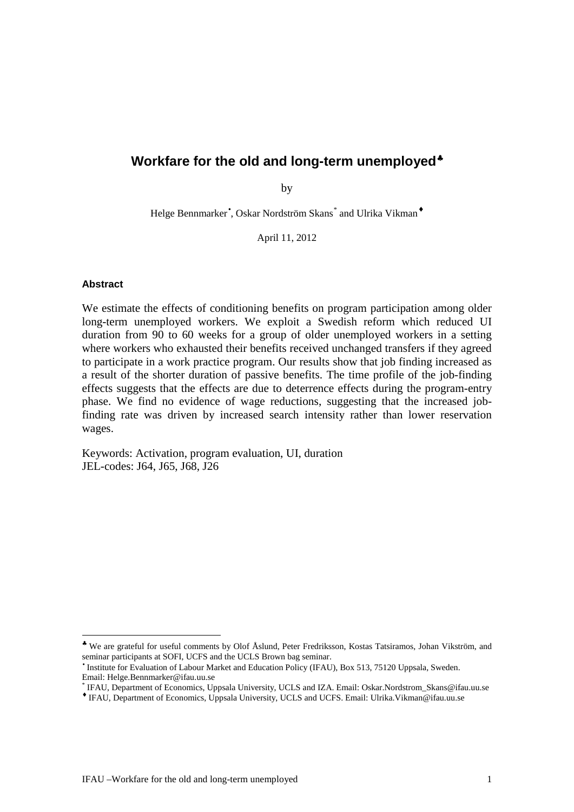# **Workfare for the old and long-term unemployed**[§](#page-0-0)

by

Helge Bennmarker , Oskar Nordström Skans[\\*](#page-0-1) and Ulrika Vikman

April 11, 2012

#### **Abstract**

We estimate the effects of conditioning benefits on program participation among older long-term unemployed workers. We exploit a Swedish reform which reduced UI duration from 90 to 60 weeks for a group of older unemployed workers in a setting where workers who exhausted their benefits received unchanged transfers if they agreed to participate in a work practice program. Our results show that job finding increased as a result of the shorter duration of passive benefits. The time profile of the job-finding effects suggests that the effects are due to deterrence effects during the program-entry phase. We find no evidence of wage reductions, suggesting that the increased jobfinding rate was driven by increased search intensity rather than lower reservation wages.

Keywords: Activation, program evaluation, UI, duration JEL-codes: J64, J65, J68, J26

<span id="page-0-0"></span>We are grateful for useful comments by Olof Åslund, Peter Fredriksson, Kostas Tatsiramos, Johan Vikström, and seminar participants at SOFI, UCFS and the UCLS Brown bag seminar.

Institute for Evaluation of Labour Market and Education Policy (IFAU), Box 513, 75120 Uppsala, Sweden.<br>Email: Helge.Bennmarker@ifau.uu.se

<span id="page-0-1"></span>IFAU, Department of Economics, Uppsala University, UCLS and IZA. Email: Oskar.Nordstrom\_Skans@ifau.uu.se

IFAU, Department of Economics, Uppsala University, UCLS and UCFS. Email: Ulrika.Vikman@ifau.uu.se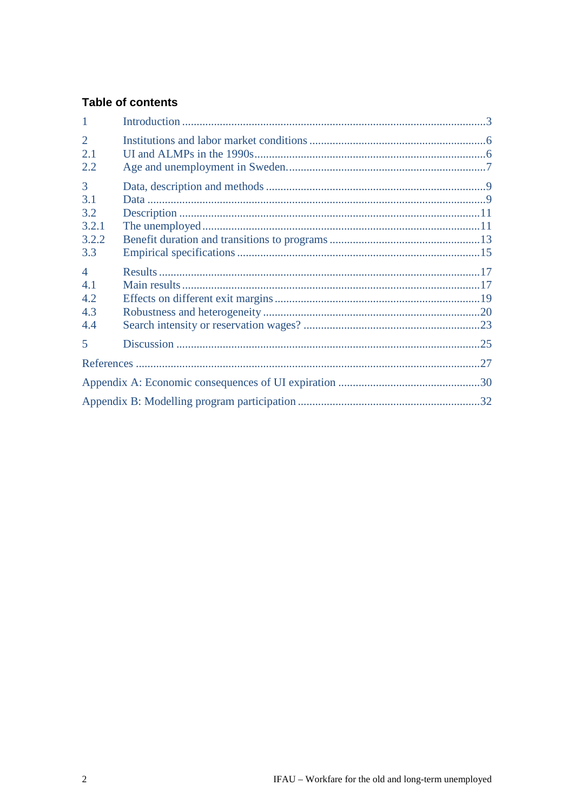# **Table of contents**

| $\mathbf{1}$                      |  |
|-----------------------------------|--|
| $\overline{2}$<br>2.1<br>2.2      |  |
| 3<br>3.1<br>3.2<br>3.2.1<br>3.2.2 |  |
| 3.3<br>$\overline{4}$             |  |
| 4.1<br>4.2<br>4.3<br>4.4          |  |
| 5                                 |  |
|                                   |  |
|                                   |  |
|                                   |  |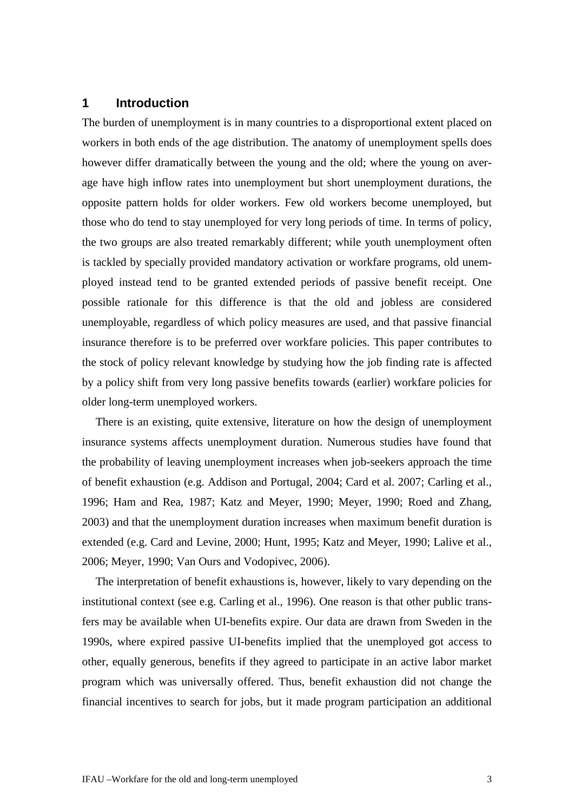# <span id="page-2-0"></span>**1 Introduction**

The burden of unemployment is in many countries to a disproportional extent placed on workers in both ends of the age distribution. The anatomy of unemployment spells does however differ dramatically between the young and the old; where the young on average have high inflow rates into unemployment but short unemployment durations, the opposite pattern holds for older workers. Few old workers become unemployed, but those who do tend to stay unemployed for very long periods of time. In terms of policy, the two groups are also treated remarkably different; while youth unemployment often is tackled by specially provided mandatory activation or workfare programs, old unemployed instead tend to be granted extended periods of passive benefit receipt. One possible rationale for this difference is that the old and jobless are considered unemployable, regardless of which policy measures are used, and that passive financial insurance therefore is to be preferred over workfare policies. This paper contributes to the stock of policy relevant knowledge by studying how the job finding rate is affected by a policy shift from very long passive benefits towards (earlier) workfare policies for older long-term unemployed workers.

There is an existing, quite extensive, literature on how the design of unemployment insurance systems affects unemployment duration. Numerous studies have found that the probability of leaving unemployment increases when job-seekers approach the time of benefit exhaustion (e.g. Addison and Portugal, 2004; Card et al. 2007; Carling et al., 1996; Ham and Rea, 1987; Katz and Meyer, 1990; Meyer, 1990; Roed and Zhang, 2003) and that the unemployment duration increases when maximum benefit duration is extended (e.g. Card and Levine, 2000; Hunt, 1995; Katz and Meyer, 1990; Lalive et al., 2006; Meyer, 1990; Van Ours and Vodopivec, 2006).

The interpretation of benefit exhaustions is, however, likely to vary depending on the institutional context (see e.g. Carling et al., 1996). One reason is that other public transfers may be available when UI-benefits expire. Our data are drawn from Sweden in the 1990s, where expired passive UI-benefits implied that the unemployed got access to other, equally generous, benefits if they agreed to participate in an active labor market program which was universally offered. Thus, benefit exhaustion did not change the financial incentives to search for jobs, but it made program participation an additional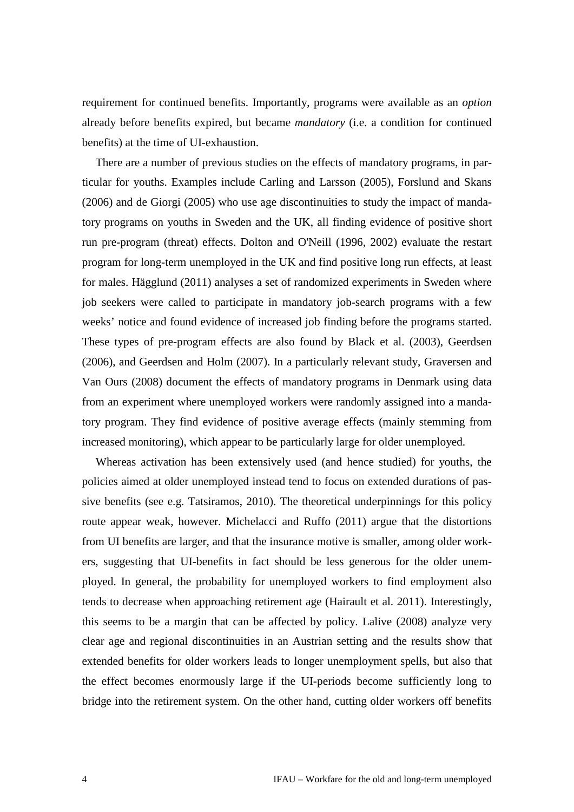requirement for continued benefits. Importantly, programs were available as an *option* already before benefits expired, but became *mandatory* (i.e. a condition for continued benefits) at the time of UI-exhaustion.

There are a number of previous studies on the effects of mandatory programs, in particular for youths. Examples include Carling and Larsson (2005), Forslund and Skans (2006) and de Giorgi (2005) who use age discontinuities to study the impact of mandatory programs on youths in Sweden and the UK, all finding evidence of positive short run pre-program (threat) effects. Dolton and O'Neill (1996, 2002) evaluate the restart program for long-term unemployed in the UK and find positive long run effects, at least for males. Hägglund (2011) analyses a set of randomized experiments in Sweden where job seekers were called to participate in mandatory job-search programs with a few weeks' notice and found evidence of increased job finding before the programs started. These types of pre-program effects are also found by Black et al. (2003), Geerdsen (2006), and Geerdsen and Holm (2007). In a particularly relevant study, Graversen and Van Ours (2008) document the effects of mandatory programs in Denmark using data from an experiment where unemployed workers were randomly assigned into a mandatory program. They find evidence of positive average effects (mainly stemming from increased monitoring), which appear to be particularly large for older unemployed.

Whereas activation has been extensively used (and hence studied) for youths, the policies aimed at older unemployed instead tend to focus on extended durations of passive benefits (see e.g. Tatsiramos, 2010). The theoretical underpinnings for this policy route appear weak, however. Michelacci and Ruffo (2011) argue that the distortions from UI benefits are larger, and that the insurance motive is smaller, among older workers, suggesting that UI-benefits in fact should be less generous for the older unemployed. In general, the probability for unemployed workers to find employment also tends to decrease when approaching retirement age (Hairault et al. 2011). Interestingly, this seems to be a margin that can be affected by policy. Lalive (2008) analyze very clear age and regional discontinuities in an Austrian setting and the results show that extended benefits for older workers leads to longer unemployment spells, but also that the effect becomes enormously large if the UI-periods become sufficiently long to bridge into the retirement system. On the other hand, cutting older workers off benefits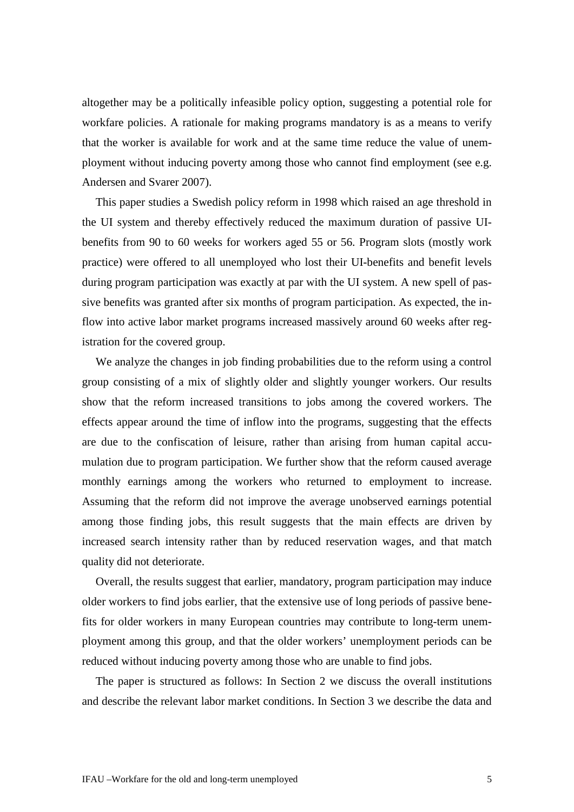altogether may be a politically infeasible policy option, suggesting a potential role for workfare policies. A rationale for making programs mandatory is as a means to verify that the worker is available for work and at the same time reduce the value of unemployment without inducing poverty among those who cannot find employment (see e.g. Andersen and Svarer 2007).

This paper studies a Swedish policy reform in 1998 which raised an age threshold in the UI system and thereby effectively reduced the maximum duration of passive UIbenefits from 90 to 60 weeks for workers aged 55 or 56. Program slots (mostly work practice) were offered to all unemployed who lost their UI-benefits and benefit levels during program participation was exactly at par with the UI system. A new spell of passive benefits was granted after six months of program participation. As expected, the inflow into active labor market programs increased massively around 60 weeks after registration for the covered group.

We analyze the changes in job finding probabilities due to the reform using a control group consisting of a mix of slightly older and slightly younger workers. Our results show that the reform increased transitions to jobs among the covered workers. The effects appear around the time of inflow into the programs, suggesting that the effects are due to the confiscation of leisure, rather than arising from human capital accumulation due to program participation. We further show that the reform caused average monthly earnings among the workers who returned to employment to increase. Assuming that the reform did not improve the average unobserved earnings potential among those finding jobs, this result suggests that the main effects are driven by increased search intensity rather than by reduced reservation wages, and that match quality did not deteriorate.

Overall, the results suggest that earlier, mandatory, program participation may induce older workers to find jobs earlier, that the extensive use of long periods of passive benefits for older workers in many European countries may contribute to long-term unemployment among this group, and that the older workers' unemployment periods can be reduced without inducing poverty among those who are unable to find jobs.

The paper is structured as follows: In Section [2](#page-5-0) we discuss the overall institutions and describe the relevant labor market conditions. In Section [3](#page-8-0) we describe the data and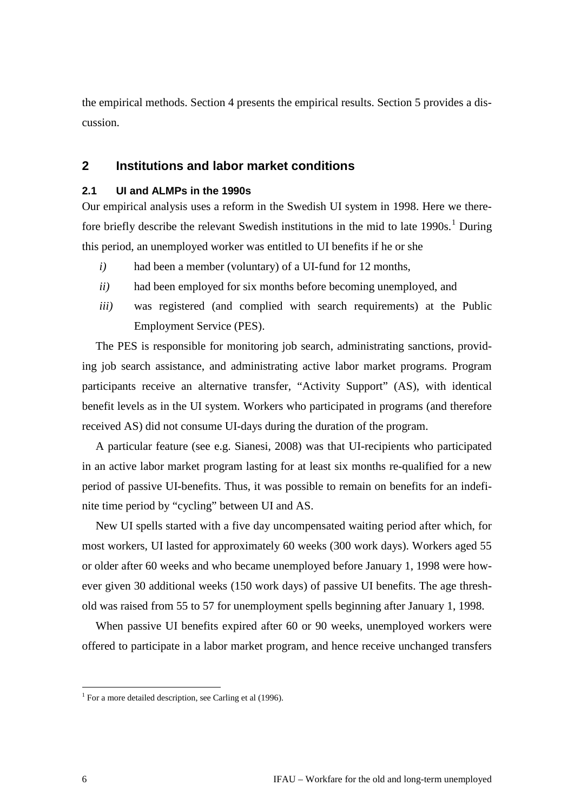the empirical methods. Section [4](#page-16-0) presents the empirical results. Section [5](#page-24-0) provides a discussion.

# <span id="page-5-0"></span>**2 Institutions and labor market conditions**

# <span id="page-5-1"></span>**2.1 UI and ALMPs in the 1990s**

Our empirical analysis uses a reform in the Swedish UI system in 1998. Here we therefore briefly describe the relevant Swedish institutions in the mid to late  $1990s$  $1990s$ .<sup>1</sup> During this period, an unemployed worker was entitled to UI benefits if he or she

- *i*) had been a member (voluntary) of a UI-fund for 12 months,
- *ii)* had been employed for six months before becoming unemployed, and
- *iii)* was registered (and complied with search requirements) at the Public Employment Service (PES).

The PES is responsible for monitoring job search, administrating sanctions, providing job search assistance, and administrating active labor market programs. Program participants receive an alternative transfer, "Activity Support" (AS), with identical benefit levels as in the UI system. Workers who participated in programs (and therefore received AS) did not consume UI-days during the duration of the program.

A particular feature (see e.g. Sianesi, 2008) was that UI-recipients who participated in an active labor market program lasting for at least six months re-qualified for a new period of passive UI-benefits. Thus, it was possible to remain on benefits for an indefinite time period by "cycling" between UI and AS.

New UI spells started with a five day uncompensated waiting period after which, for most workers, UI lasted for approximately 60 weeks (300 work days). Workers aged 55 or older after 60 weeks and who became unemployed before January 1, 1998 were however given 30 additional weeks (150 work days) of passive UI benefits. The age threshold was raised from 55 to 57 for unemployment spells beginning after January 1, 1998.

When passive UI benefits expired after 60 or 90 weeks, unemployed workers were offered to participate in a labor market program, and hence receive unchanged transfers

<span id="page-5-2"></span> $1$  For a more detailed description, see Carling et al (1996).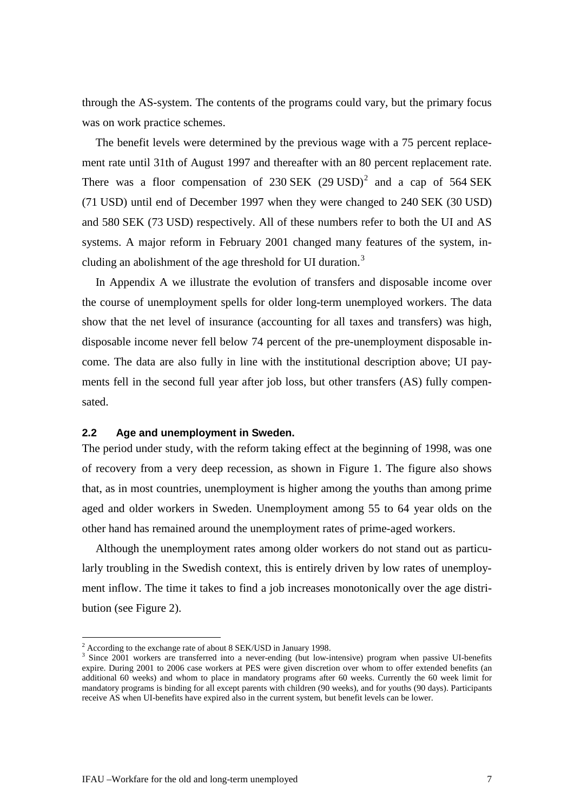through the AS-system. The contents of the programs could vary, but the primary focus was on work practice schemes.

The benefit levels were determined by the previous wage with a 75 percent replacement rate until 31th of August 1997 and thereafter with an 80 percent replacement rate. There was a floor compensation of [2](#page-6-1)30 SEK  $(29 \text{ USD})^2$  and a cap of 564 SEK (71 USD) until end of December 1997 when they were changed to 240 SEK (30 USD) and 580 SEK (73 USD) respectively. All of these numbers refer to both the UI and AS systems. A major reform in February 2001 changed many features of the system, in-cluding an abolishment of the age threshold for UI duration.<sup>[3](#page-6-2)</sup>

In [Appendix A](#page-29-0) we illustrate the evolution of transfers and disposable income over the course of unemployment spells for older long-term unemployed workers. The data show that the net level of insurance (accounting for all taxes and transfers) was high, disposable income never fell below 74 percent of the pre-unemployment disposable income. The data are also fully in line with the institutional description above; UI payments fell in the second full year after job loss, but other transfers (AS) fully compensated.

### <span id="page-6-0"></span>**2.2 Age and unemployment in Sweden.**

The period under study, with the reform taking effect at the beginning of 1998, was one of recovery from a very deep recession, as shown in [Figure 1.](#page-7-0) The figure also shows that, as in most countries, unemployment is higher among the youths than among prime aged and older workers in Sweden. Unemployment among 55 to 64 year olds on the other hand has remained around the unemployment rates of prime-aged workers.

Although the unemployment rates among older workers do not stand out as particularly troubling in the Swedish context, this is entirely driven by low rates of unemployment inflow. The time it takes to find a job increases monotonically over the age distribution (see [Figure 2\)](#page-7-1).

 <sup>2</sup> According to the exchange rate of about 8 SEK/USD in January 1998.

<span id="page-6-2"></span><span id="page-6-1"></span><sup>&</sup>lt;sup>3</sup> Since 2001 workers are transferred into a never-ending (but low-intensive) program when passive UI-benefits expire. During 2001 to 2006 case workers at PES were given discretion over whom to offer extended benefits (an additional 60 weeks) and whom to place in mandatory programs after 60 weeks. Currently the 60 week limit for mandatory programs is binding for all except parents with children (90 weeks), and for youths (90 days). Participants receive AS when UI-benefits have expired also in the current system, but benefit levels can be lower.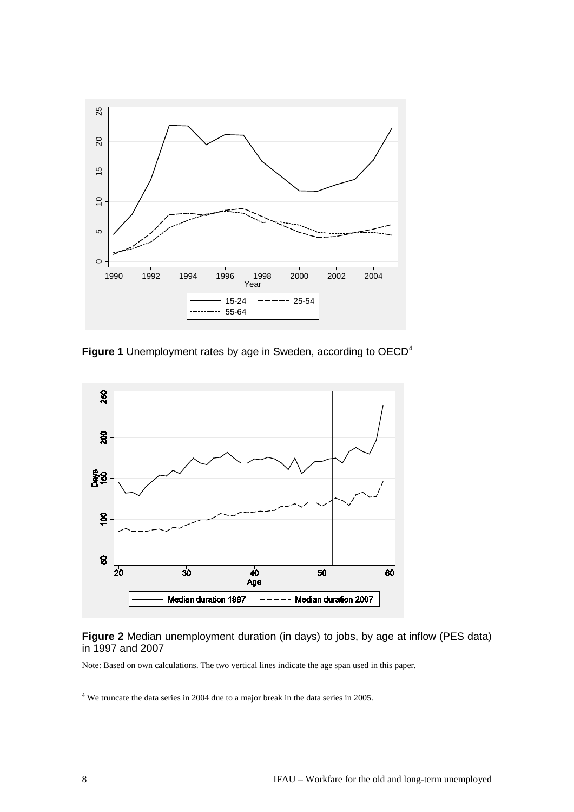

<span id="page-7-0"></span>**Figure 1** Unemployment rates by age in Sweden, according to OECD[4](#page-7-2)



# <span id="page-7-1"></span>**Figure 2** Median unemployment duration (in days) to jobs, by age at inflow (PES data) in 1997 and 2007

Note: Based on own calculations. The two vertical lines indicate the age span used in this paper.

<span id="page-7-2"></span> <sup>4</sup> We truncate the data series in 2004 due to a major break in the data series in 2005.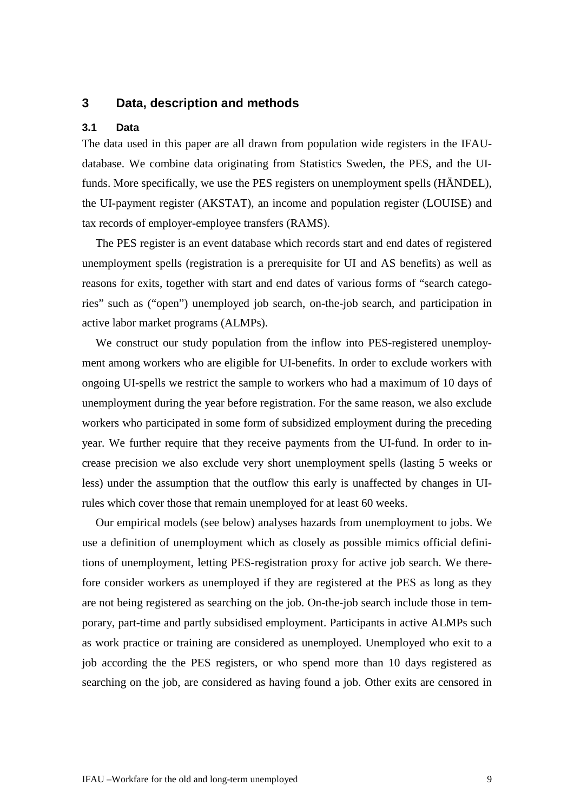# <span id="page-8-0"></span>**3 Data, description and methods**

### <span id="page-8-1"></span>**3.1 Data**

The data used in this paper are all drawn from population wide registers in the IFAUdatabase. We combine data originating from Statistics Sweden, the PES, and the UIfunds. More specifically, we use the PES registers on unemployment spells (HÄNDEL), the UI-payment register (AKSTAT), an income and population register (LOUISE) and tax records of employer-employee transfers (RAMS).

The PES register is an event database which records start and end dates of registered unemployment spells (registration is a prerequisite for UI and AS benefits) as well as reasons for exits, together with start and end dates of various forms of "search categories" such as ("open") unemployed job search, on-the-job search, and participation in active labor market programs (ALMPs).

We construct our study population from the inflow into PES-registered unemployment among workers who are eligible for UI-benefits. In order to exclude workers with ongoing UI-spells we restrict the sample to workers who had a maximum of 10 days of unemployment during the year before registration. For the same reason, we also exclude workers who participated in some form of subsidized employment during the preceding year. We further require that they receive payments from the UI-fund. In order to increase precision we also exclude very short unemployment spells (lasting 5 weeks or less) under the assumption that the outflow this early is unaffected by changes in UIrules which cover those that remain unemployed for at least 60 weeks.

Our empirical models (see below) analyses hazards from unemployment to jobs. We use a definition of unemployment which as closely as possible mimics official definitions of unemployment, letting PES-registration proxy for active job search. We therefore consider workers as unemployed if they are registered at the PES as long as they are not being registered as searching on the job. On-the-job search include those in temporary, part-time and partly subsidised employment. Participants in active ALMPs such as work practice or training are considered as unemployed. Unemployed who exit to a job according the the PES registers, or who spend more than 10 days registered as searching on the job, are considered as having found a job. Other exits are censored in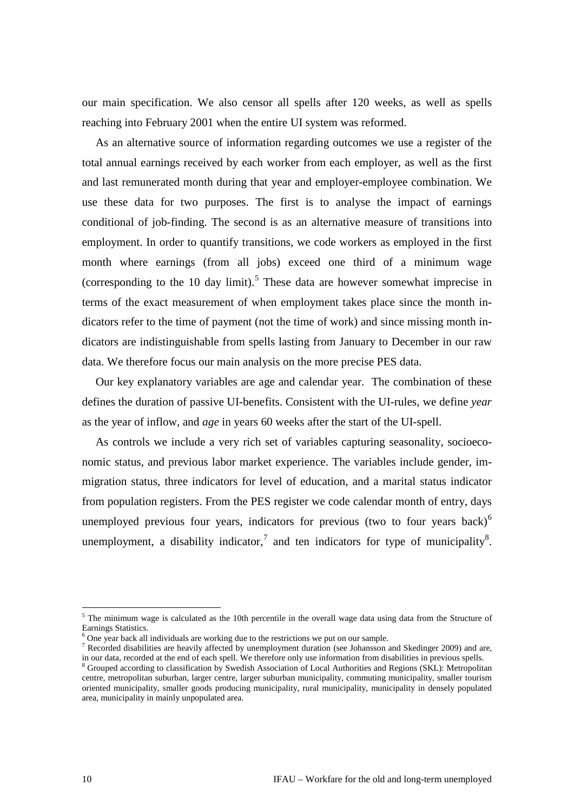our main specification. We also censor all spells after 120 weeks, as well as spells reaching into February 2001 when the entire UI system was reformed.

As an alternative source of information regarding outcomes we use a register of the total annual earnings received by each worker from each employer, as well as the first and last remunerated month during that year and employer-employee combination. We use these data for two purposes. The first is to analyse the impact of earnings conditional of job-finding. The second is as an alternative measure of transitions into employment. In order to quantify transitions, we code workers as employed in the first month where earnings (from all jobs) exceed one third of a minimum wage (corresponding to the 10 day limit).<sup>[5](#page-9-0)</sup> These data are however somewhat imprecise in terms of the exact measurement of when employment takes place since the month indicators refer to the time of payment (not the time of work) and since missing month indicators are indistinguishable from spells lasting from January to December in our raw data. We therefore focus our main analysis on the more precise PES data.

Our key explanatory variables are age and calendar year. The combination of these defines the duration of passive UI-benefits. Consistent with the UI-rules, we define *year* as the year of inflow, and *age* in years 60 weeks after the start of the UI-spell.

As controls we include a very rich set of variables capturing seasonality, socioeconomic status, and previous labor market experience. The variables include gender, immigration status, three indicators for level of education, and a marital status indicator from population registers. From the PES register we code calendar month of entry, days unemployed previous four years, indicators for previous (two to four years back) $<sup>6</sup>$  $<sup>6</sup>$  $<sup>6</sup>$ </sup> unemployment, a disability indicator,<sup>[7](#page-9-2)</sup> and ten indicators for type of municipality<sup>[8](#page-9-3)</sup>.

<span id="page-9-0"></span> $5$  The minimum wage is calculated as the 10th percentile in the overall wage data using data from the Structure of Earnings Statistics.

<span id="page-9-2"></span>

<span id="page-9-1"></span><sup>&</sup>lt;sup>6</sup> One year back all individuals are working due to the restrictions we put on our sample.<br><sup>7</sup> Recorded disabilities are heavily affected by unemployment duration (see Johansson and Skedinger 2009) and are, in our data,

<span id="page-9-3"></span><sup>&</sup>lt;sup>8</sup> Grouped according to classification by Swedish Association of Local Authorities and Regions (SKL): Metropolitan centre, metropolitan suburban, larger centre, larger suburban municipality, commuting municipality, smaller tourism oriented municipality, smaller goods producing municipality, rural municipality, municipality in densely populated area, municipality in mainly unpopulated area.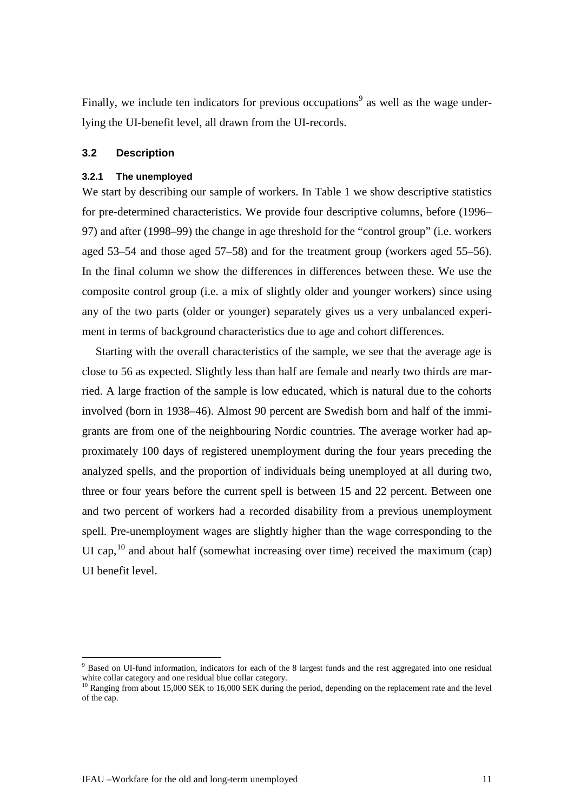Finally, we include ten indicators for previous occupations<sup>[9](#page-10-2)</sup> as well as the wage underlying the UI-benefit level, all drawn from the UI-records.

# <span id="page-10-0"></span>**3.2 Description**

### <span id="page-10-1"></span>**3.2.1 The unemployed**

We start by describing our sample of workers. In [Table 1](#page-11-0) we show descriptive statistics for pre-determined characteristics. We provide four descriptive columns, before (1996– 97) and after (1998–99) the change in age threshold for the "control group" (i.e. workers aged 53–54 and those aged 57–58) and for the treatment group (workers aged 55–56). In the final column we show the differences in differences between these. We use the composite control group (i.e. a mix of slightly older and younger workers) since using any of the two parts (older or younger) separately gives us a very unbalanced experiment in terms of background characteristics due to age and cohort differences.

Starting with the overall characteristics of the sample, we see that the average age is close to 56 as expected. Slightly less than half are female and nearly two thirds are married. A large fraction of the sample is low educated, which is natural due to the cohorts involved (born in 1938–46). Almost 90 percent are Swedish born and half of the immigrants are from one of the neighbouring Nordic countries. The average worker had approximately 100 days of registered unemployment during the four years preceding the analyzed spells, and the proportion of individuals being unemployed at all during two, three or four years before the current spell is between 15 and 22 percent. Between one and two percent of workers had a recorded disability from a previous unemployment spell. Pre-unemployment wages are slightly higher than the wage corresponding to the UI cap,  $^{10}$  $^{10}$  $^{10}$  and about half (somewhat increasing over time) received the maximum (cap) UI benefit level.

<span id="page-10-2"></span> <sup>9</sup> Based on UI-fund information, indicators for each of the 8 largest funds and the rest aggregated into one residual white collar category and one residual blue collar category.

<span id="page-10-3"></span> $10$  Ranging from about 15,000 SEK to 16,000 SEK during the period, depending on the replacement rate and the level of the cap.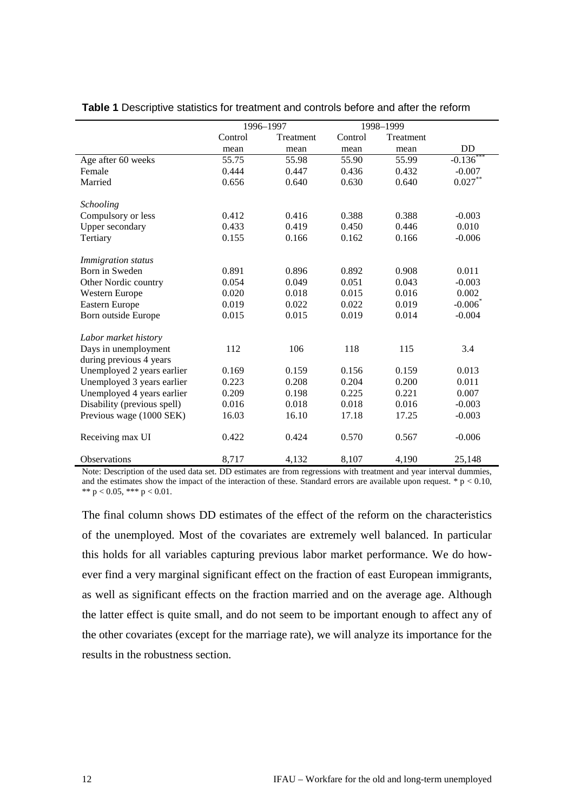|                             | 1996-1997 |           | 1998-1999 |           |              |
|-----------------------------|-----------|-----------|-----------|-----------|--------------|
|                             | Control   | Treatment | Control   | Treatment |              |
|                             | mean      | mean      | mean      | mean      | <b>DD</b>    |
| Age after 60 weeks          | 55.75     | 55.98     | 55.90     | 55.99     | $-0.136$ *** |
| Female                      | 0.444     | 0.447     | 0.436     | 0.432     | $-0.007$     |
| Married                     | 0.656     | 0.640     | 0.630     | 0.640     | $0.027***$   |
| <b>Schooling</b>            |           |           |           |           |              |
| Compulsory or less          | 0.412     | 0.416     | 0.388     | 0.388     | $-0.003$     |
| Upper secondary             | 0.433     | 0.419     | 0.450     | 0.446     | 0.010        |
| Tertiary                    | 0.155     | 0.166     | 0.162     | 0.166     | $-0.006$     |
| Immigration status          |           |           |           |           |              |
| Born in Sweden              | 0.891     | 0.896     | 0.892     | 0.908     | 0.011        |
| Other Nordic country        | 0.054     | 0.049     | 0.051     | 0.043     | $-0.003$     |
| Western Europe              | 0.020     | 0.018     | 0.015     | 0.016     | 0.002        |
| Eastern Europe              | 0.019     | 0.022     | 0.022     | 0.019     | $-0.006$     |
| Born outside Europe         | 0.015     | 0.015     | 0.019     | 0.014     | $-0.004$     |
| Labor market history        |           |           |           |           |              |
| Days in unemployment        | 112       | 106       | 118       | 115       | 3.4          |
| during previous 4 years     |           |           |           |           |              |
| Unemployed 2 years earlier  | 0.169     | 0.159     | 0.156     | 0.159     | 0.013        |
| Unemployed 3 years earlier  | 0.223     | 0.208     | 0.204     | 0.200     | 0.011        |
| Unemployed 4 years earlier  | 0.209     | 0.198     | 0.225     | 0.221     | 0.007        |
| Disability (previous spell) | 0.016     | 0.018     | 0.018     | 0.016     | $-0.003$     |
| Previous wage (1000 SEK)    | 16.03     | 16.10     | 17.18     | 17.25     | $-0.003$     |
| Receiving max UI            | 0.422     | 0.424     | 0.570     | 0.567     | $-0.006$     |
| <b>Observations</b>         | 8,717     | 4,132     | 8,107     | 4,190     | 25,148       |

<span id="page-11-0"></span>**Table 1** Descriptive statistics for treatment and controls before and after the reform

Note: Description of the used data set. DD estimates are from regressions with treatment and year interval dummies, and the estimates show the impact of the interaction of these. Standard errors are available upon request.  $* p < 0.10$ , \*\*  $p < 0.05$ , \*\*\*  $p < 0.01$ .

The final column shows DD estimates of the effect of the reform on the characteristics of the unemployed. Most of the covariates are extremely well balanced. In particular this holds for all variables capturing previous labor market performance. We do however find a very marginal significant effect on the fraction of east European immigrants, as well as significant effects on the fraction married and on the average age. Although the latter effect is quite small, and do not seem to be important enough to affect any of the other covariates (except for the marriage rate), we will analyze its importance for the results in the robustness section.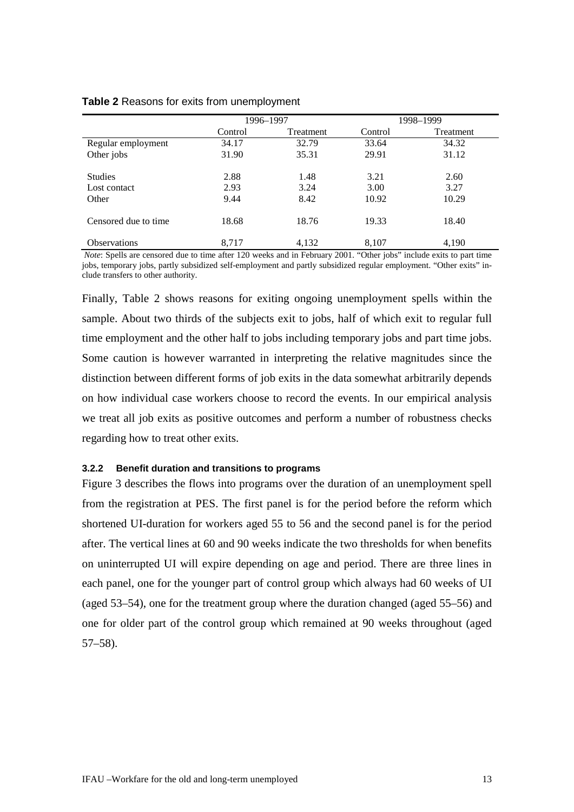| $\frac{1}{2}$ . The state is the state in the state in the state in the state in the state in the state in the state in the state in the state in the state in the state in the state in the state in the state in the state in t |           |           |         |           |
|-----------------------------------------------------------------------------------------------------------------------------------------------------------------------------------------------------------------------------------|-----------|-----------|---------|-----------|
|                                                                                                                                                                                                                                   | 1996–1997 |           |         | 1998–1999 |
|                                                                                                                                                                                                                                   | Control   | Treatment | Control | Treatme   |
| Regular employment                                                                                                                                                                                                                | 34.17     | 32.79     | 33.64   | 34.32     |

<span id="page-12-1"></span>

|  | Table 2 Reasons for exits from unemployment |  |  |  |  |  |  |
|--|---------------------------------------------|--|--|--|--|--|--|
|--|---------------------------------------------|--|--|--|--|--|--|

*Note*: Spells are censored due to time after 120 weeks and in February 2001. "Other jobs" include exits to part time jobs, temporary jobs, partly subsidized self-employment and partly subsidized regular employment. "Other exits" include transfers to other authority.

Other jobs 31.90 35.31 29.91 31.12

Studies 2.88 1.48 3.21 2.60 Lost contact 2.93 3.24 3.00 3.27<br>Other 9.44 8.42 10.92 10.29 Other 9.44 8.42 10.92 10.29

Censored due to time 18.68 18.76 19.33 18.40

Observations 8,717 4,132 8,107 4,190

Finally, [Table 2](#page-12-1) shows reasons for exiting ongoing unemployment spells within the sample. About two thirds of the subjects exit to jobs, half of which exit to regular full time employment and the other half to jobs including temporary jobs and part time jobs. Some caution is however warranted in interpreting the relative magnitudes since the distinction between different forms of job exits in the data somewhat arbitrarily depends on how individual case workers choose to record the events. In our empirical analysis we treat all job exits as positive outcomes and perform a number of robustness checks regarding how to treat other exits.

### <span id="page-12-0"></span>**3.2.2 Benefit duration and transitions to programs**

[Figure 3](#page-13-0) describes the flows into programs over the duration of an unemployment spell from the registration at PES. The first panel is for the period before the reform which shortened UI-duration for workers aged 55 to 56 and the second panel is for the period after. The vertical lines at 60 and 90 weeks indicate the two thresholds for when benefits on uninterrupted UI will expire depending on age and period. There are three lines in each panel, one for the younger part of control group which always had 60 weeks of UI (aged 53–54), one for the treatment group where the duration changed (aged 55–56) and one for older part of the control group which remained at 90 weeks throughout (aged 57–58).

Treatment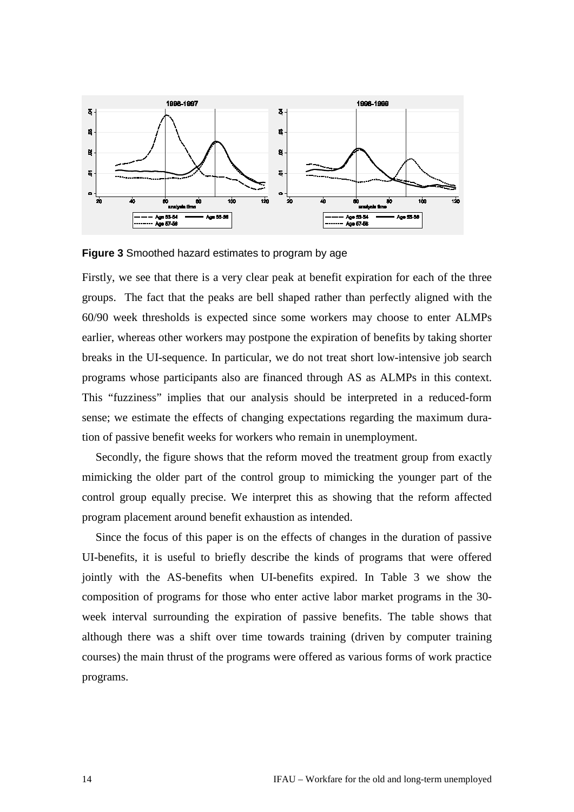

<span id="page-13-0"></span>**Figure 3** Smoothed hazard estimates to program by age

Firstly, we see that there is a very clear peak at benefit expiration for each of the three groups. The fact that the peaks are bell shaped rather than perfectly aligned with the 60/90 week thresholds is expected since some workers may choose to enter ALMPs earlier, whereas other workers may postpone the expiration of benefits by taking shorter breaks in the UI-sequence. In particular, we do not treat short low-intensive job search programs whose participants also are financed through AS as ALMPs in this context. This "fuzziness" implies that our analysis should be interpreted in a reduced-form sense; we estimate the effects of changing expectations regarding the maximum duration of passive benefit weeks for workers who remain in unemployment.

Secondly, the figure shows that the reform moved the treatment group from exactly mimicking the older part of the control group to mimicking the younger part of the control group equally precise. We interpret this as showing that the reform affected program placement around benefit exhaustion as intended.

Since the focus of this paper is on the effects of changes in the duration of passive UI-benefits, it is useful to briefly describe the kinds of programs that were offered jointly with the AS-benefits when UI-benefits expired. In [Table 3](#page-14-1) we show the composition of programs for those who enter active labor market programs in the 30 week interval surrounding the expiration of passive benefits. The table shows that although there was a shift over time towards training (driven by computer training courses) the main thrust of the programs were offered as various forms of work practice programs.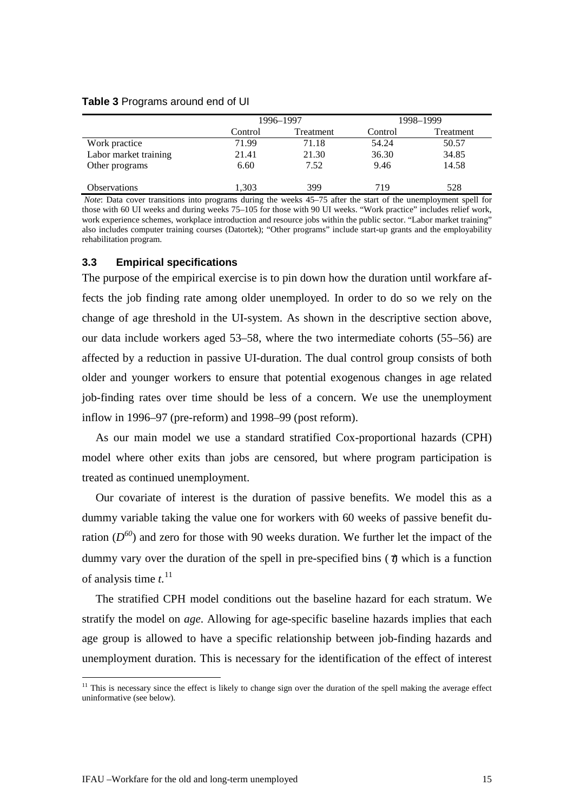#### <span id="page-14-1"></span>**Table 3** Programs around end of UI

|                       | 1996-1997 |           |         | 1998-1999 |
|-----------------------|-----------|-----------|---------|-----------|
|                       | Control   | Treatment | Control | Treatment |
| Work practice         | 71.99     | 71.18     | 54.24   | 50.57     |
| Labor market training | 21.41     | 21.30     | 36.30   | 34.85     |
| Other programs        | 6.60      | 7.52      | 9.46    | 14.58     |
|                       |           |           |         |           |
| <b>Observations</b>   | 1,303     | 399       | 719     | 528       |

*Note*: Data cover transitions into programs during the weeks 45–75 after the start of the unemployment spell for those with 60 UI weeks and during weeks 75–105 for those with 90 UI weeks. "Work practice" includes relief work, work experience schemes, workplace introduction and resource jobs within the public sector. "Labor market training" also includes computer training courses (Datortek); "Other programs" include start-up grants and the employability rehabilitation program.

# <span id="page-14-0"></span>**3.3 Empirical specifications**

The purpose of the empirical exercise is to pin down how the duration until workfare affects the job finding rate among older unemployed. In order to do so we rely on the change of age threshold in the UI-system. As shown in the descriptive section above, our data include workers aged 53–58, where the two intermediate cohorts (55–56) are affected by a reduction in passive UI-duration. The dual control group consists of both older and younger workers to ensure that potential exogenous changes in age related job-finding rates over time should be less of a concern. We use the unemployment inflow in 1996–97 (pre-reform) and 1998–99 (post reform).

As our main model we use a standard stratified Cox-proportional hazards (CPH) model where other exits than jobs are censored, but where program participation is treated as continued unemployment.

Our covariate of interest is the duration of passive benefits. We model this as a dummy variable taking the value one for workers with 60 weeks of passive benefit duration  $(D^{60})$  and zero for those with 90 weeks duration. We further let the impact of the dummy vary over the duration of the spell in pre-specified bins  $(t)$  which is a function of analysis time *t*. [11](#page-14-2)

The stratified CPH model conditions out the baseline hazard for each stratum. We stratify the model on *age*. Allowing for age-specific baseline hazards implies that each age group is allowed to have a specific relationship between job-finding hazards and unemployment duration. This is necessary for the identification of the effect of interest

<span id="page-14-2"></span> $11$  This is necessary since the effect is likely to change sign over the duration of the spell making the average effect uninformative (see below).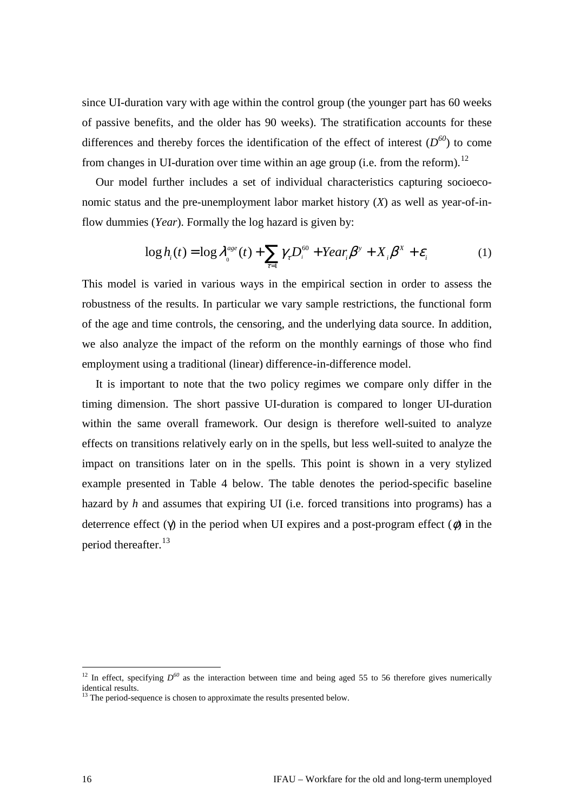since UI-duration vary with age within the control group (the younger part has 60 weeks of passive benefits, and the older has 90 weeks). The stratification accounts for these differences and thereby forces the identification of the effect of interest  $(D^{60})$  to come from changes in UI-duration over time within an age group (i.e. from the reform).<sup>[12](#page-15-0)</sup>

Our model further includes a set of individual characteristics capturing socioeconomic status and the pre-unemployment labor market history (*X*) as well as year-of-inflow dummies (*Year*). Formally the log hazard is given by:

$$
\log h_i(t) = \log l_{0}^{age}(t) + \mathop{\mathbf{A}}_{t=1}^{\alpha} g_i D_i^{60} + Year_i b^{\gamma} + X_i b^{\gamma} + \mathbf{e}_i
$$
 (1)

This model is varied in various ways in the empirical section in order to assess the robustness of the results. In particular we vary sample restrictions, the functional form of the age and time controls, the censoring, and the underlying data source. In addition, we also analyze the impact of the reform on the monthly earnings of those who find employment using a traditional (linear) difference-in-difference model.

It is important to note that the two policy regimes we compare only differ in the timing dimension. The short passive UI-duration is compared to longer UI-duration within the same overall framework. Our design is therefore well-suited to analyze effects on transitions relatively early on in the spells, but less well-suited to analyze the impact on transitions later on in the spells. This point is shown in a very stylized example presented in [Table 4](#page-16-2) below. The table denotes the period-specific baseline hazard by *h* and assumes that expiring UI (i.e. forced transitions into programs) has a deterrence effect  $(q)$  in the period when UI expires and a post-program effect  $(f)$  in the period thereafter.<sup>[13](#page-15-1)</sup>

<span id="page-15-0"></span><sup>&</sup>lt;sup>12</sup> In effect, specifying  $D^{60}$  as the interaction between time and being aged 55 to 56 therefore gives numerically identical results.<br><sup>13</sup> The period-sequence is chosen to approximate the results presented below.

<span id="page-15-1"></span>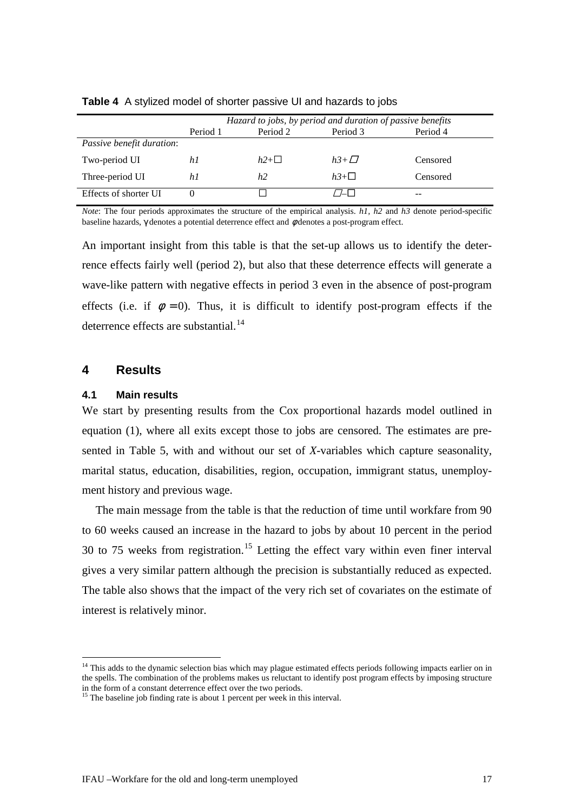|                           | Hazard to jobs, by period and duration of passive benefits |           |               |          |  |
|---------------------------|------------------------------------------------------------|-----------|---------------|----------|--|
|                           | Period 1                                                   | Period 2  | Period 3      | Period 4 |  |
| Passive benefit duration: |                                                            |           |               |          |  |
| Two-period UI             | hI                                                         | $h2+\Box$ | $h3+\sqrt{7}$ | Censored |  |
| Three-period UI           | hI                                                         | h2        | $h3+\Box$     | Censored |  |
| Effects of shorter UI     |                                                            |           | $\Box$        | --       |  |

<span id="page-16-2"></span>**Table 4** A stylized model of shorter passive UI and hazards to jobs

*Note*: The four periods approximates the structure of the empirical analysis. *h1, h2* and *h3* denote period-specific baseline hazards, g denotes a potential deterrence effect and  $f$  denotes a post-program effect.

An important insight from this table is that the set-up allows us to identify the deterrence effects fairly well (period 2), but also that these deterrence effects will generate a wave-like pattern with negative effects in period 3 even in the absence of post-program effects (i.e. if  $f = 0$ ). Thus, it is difficult to identify post-program effects if the deterrence effects are substantial.<sup>[14](#page-16-3)</sup>

# <span id="page-16-0"></span>**4 Results**

### <span id="page-16-1"></span>**4.1 Main results**

We start by presenting results from the Cox proportional hazards model outlined in equation (1), where all exits except those to jobs are censored. The estimates are presented in [Table 5,](#page-17-0) with and without our set of *X*-variables which capture seasonality, marital status, education, disabilities, region, occupation, immigrant status, unemployment history and previous wage.

The main message from the table is that the reduction of time until workfare from 90 to 60 weeks caused an increase in the hazard to jobs by about 10 percent in the period 30 to 75 weeks from registration.<sup>[15](#page-16-4)</sup> Letting the effect vary within even finer interval gives a very similar pattern although the precision is substantially reduced as expected. The table also shows that the impact of the very rich set of covariates on the estimate of interest is relatively minor.

<span id="page-16-3"></span><sup>&</sup>lt;sup>14</sup> This adds to the dynamic selection bias which may plague estimated effects periods following impacts earlier on in the spells. The combination of the problems makes us reluctant to identify post program effects by imposing structure in the form of a constant deterrence effect over the two periods.

<span id="page-16-4"></span><sup>&</sup>lt;sup>15</sup> The baseline job finding rate is about 1 percent per week in this interval.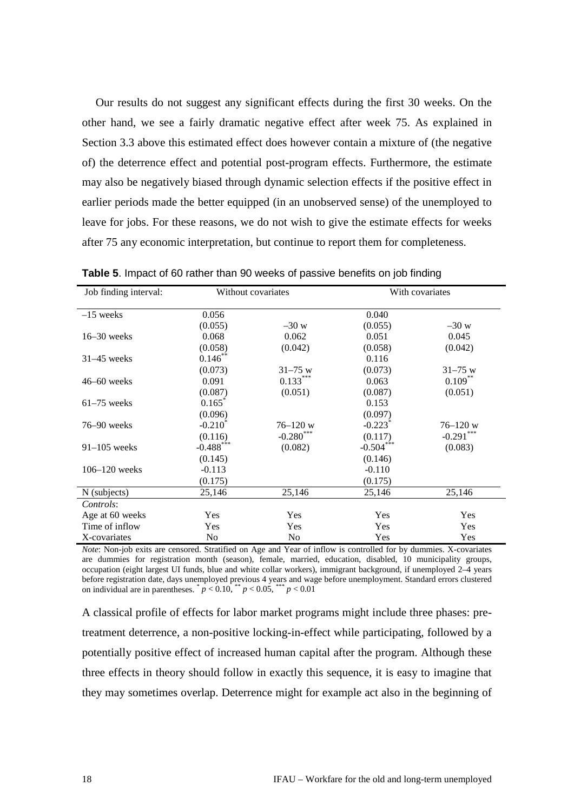Our results do not suggest any significant effects during the first 30 weeks. On the other hand, we see a fairly dramatic negative effect after week 75. As explained in Section 3.3 above this estimated effect does however contain a mixture of (the negative of) the deterrence effect and potential post-program effects. Furthermore, the estimate may also be negatively biased through dynamic selection effects if the positive effect in earlier periods made the better equipped (in an unobserved sense) of the unemployed to leave for jobs. For these reasons, we do not wish to give the estimate effects for weeks after 75 any economic interpretation, but continue to report them for completeness.

| Job finding interval: |              | Without covariates |                       | With covariates |
|-----------------------|--------------|--------------------|-----------------------|-----------------|
| $-15$ weeks           | 0.056        |                    | 0.040                 |                 |
|                       | (0.055)      | $-30 w$            | (0.055)               | $-30 w$         |
| $16-30$ weeks         | 0.068        | 0.062              | 0.051                 | 0.045           |
|                       | (0.058)      | (0.042)            | (0.058)               | (0.042)         |
| $31-45$ weeks         | $0.146$ **   |                    | 0.116                 |                 |
|                       | (0.073)      | $31 - 75$ w        | (0.073)               | $31 - 75$ w     |
| $46-60$ weeks         | 0.091        | $0.133***$         | 0.063                 | $0.109***$      |
|                       | (0.087)      | (0.051)            | (0.087)               | (0.051)         |
| $61-75$ weeks         | 0.165        |                    | 0.153                 |                 |
|                       | (0.096)      |                    | (0.097)               |                 |
| $76 - 90$ weeks       | $-0.210^*$   | $76 - 120$ w       | $-0.223$ <sup>*</sup> | $76 - 120$ w    |
|                       | (0.116)      | $-0.280***$        | (0.117)               | $-0.291***$     |
| $91-105$ weeks        | $-0.488$ *** | (0.082)            | $-0.504***$           | (0.083)         |
|                       | (0.145)      |                    | (0.146)               |                 |
| $106 - 120$ weeks     | $-0.113$     |                    | $-0.110$              |                 |
|                       | (0.175)      |                    | (0.175)               |                 |
| N (subjects)          | 25,146       | 25,146             | 25,146                | 25,146          |
| Controls:             |              |                    |                       |                 |
| Age at 60 weeks       | Yes          | Yes                | Yes                   | Yes             |
| Time of inflow        | Yes          | Yes                | <b>Yes</b>            | Yes             |
| X-covariates          | No           | N <sub>0</sub>     | Yes                   | Yes             |

<span id="page-17-0"></span>**Table 5**. Impact of 60 rather than 90 weeks of passive benefits on job finding

*Note*: Non-job exits are censored. Stratified on Age and Year of inflow is controlled for by dummies. X-covariates are dummies for registration month (season), female, married, education, disabled, 10 municipality groups, occupation (eight largest UI funds, blue and white collar workers), immigrant background, if unemployed 2–4 years before registration date, days unemployed previous 4 years and wage before unemployment. Standard errors clustered on individual are in parentheses.  $p < 0.10$ ,  $p < 0.05$ ,  $p < 0.01$ 

A classical profile of effects for labor market programs might include three phases: pretreatment deterrence, a non-positive locking-in-effect while participating, followed by a potentially positive effect of increased human capital after the program. Although these three effects in theory should follow in exactly this sequence, it is easy to imagine that they may sometimes overlap. Deterrence might for example act also in the beginning of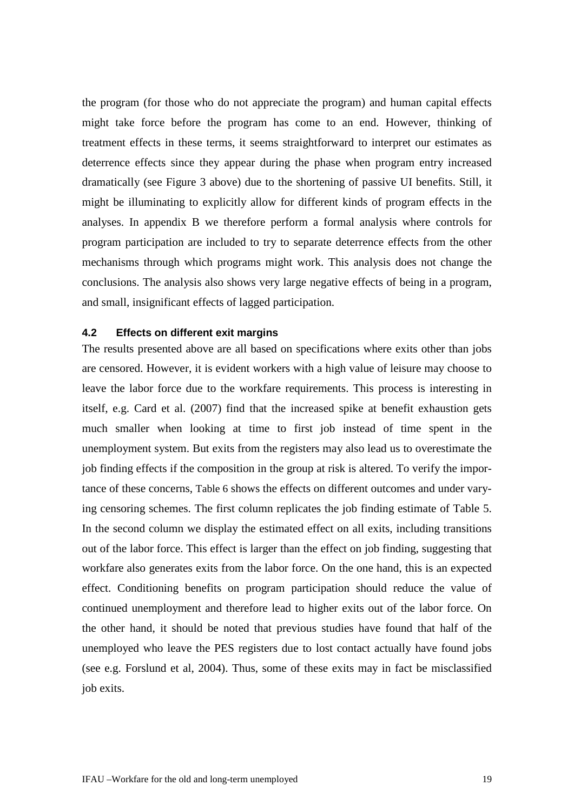the program (for those who do not appreciate the program) and human capital effects might take force before the program has come to an end. However, thinking of treatment effects in these terms, it seems straightforward to interpret our estimates as deterrence effects since they appear during the phase when program entry increased dramatically (see [Figure 3](#page-13-0) above) due to the shortening of passive UI benefits. Still, it might be illuminating to explicitly allow for different kinds of program effects in the analyses. In appendix B we therefore perform a formal analysis where controls for program participation are included to try to separate deterrence effects from the other mechanisms through which programs might work. This analysis does not change the conclusions. The analysis also shows very large negative effects of being in a program, and small, insignificant effects of lagged participation.

## <span id="page-18-0"></span>**4.2 Effects on different exit margins**

The results presented above are all based on specifications where exits other than jobs are censored. However, it is evident workers with a high value of leisure may choose to leave the labor force due to the workfare requirements. This process is interesting in itself, e.g. Card et al. (2007) find that the increased spike at benefit exhaustion gets much smaller when looking at time to first job instead of time spent in the unemployment system. But exits from the registers may also lead us to overestimate the job finding effects if the composition in the group at risk is altered. To verify the importance of these concerns, [Table 6](#page-19-1) shows the effects on different outcomes and under varying censoring schemes. The first column replicates the job finding estimate of [Table 5.](#page-17-0) In the second column we display the estimated effect on all exits, including transitions out of the labor force. This effect is larger than the effect on job finding, suggesting that workfare also generates exits from the labor force. On the one hand, this is an expected effect. Conditioning benefits on program participation should reduce the value of continued unemployment and therefore lead to higher exits out of the labor force. On the other hand, it should be noted that previous studies have found that half of the unemployed who leave the PES registers due to lost contact actually have found jobs (see e.g. Forslund et al, 2004). Thus, some of these exits may in fact be misclassified job exits.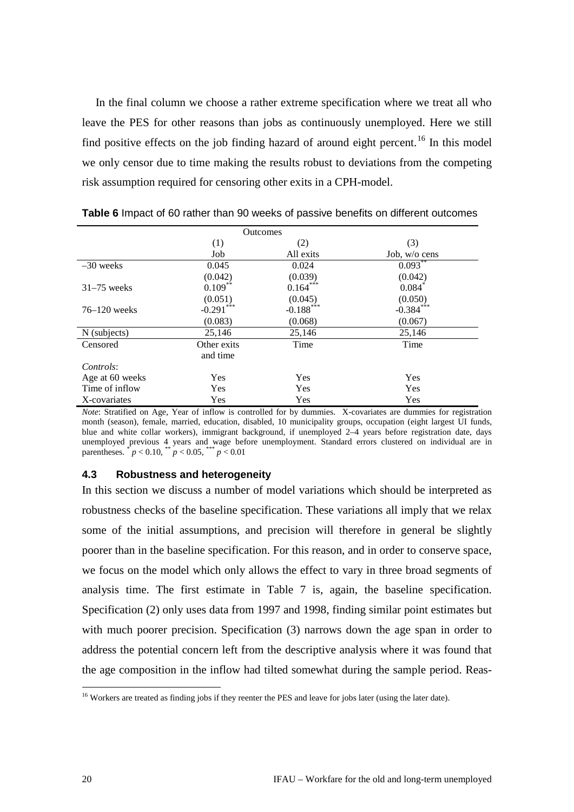In the final column we choose a rather extreme specification where we treat all who leave the PES for other reasons than jobs as continuously unemployed. Here we still find positive effects on the job finding hazard of around eight percent.<sup>[16](#page-19-2)</sup> In this model we only censor due to time making the results robust to deviations from the competing risk assumption required for censoring other exits in a CPH-model.

|                 |              | <b>Outcomes</b> |                 |
|-----------------|--------------|-----------------|-----------------|
|                 | (1)          | (2)             | (3)             |
|                 | Job          | All exits       | Job, w/o cens   |
| $-30$ weeks     | 0.045        | 0.024           | $0.093^{**}$    |
|                 | (0.042)      | (0.039)         | (0.042)         |
| $31-75$ weeks   | $0.109***$   | $0.164***$      | $0.084^{\circ}$ |
|                 | (0.051)      | (0.045)         | (0.050)         |
| $76-120$ weeks  | $-0.291$ *** | $-0.188$ ***    | $-0.384$ ***    |
|                 | (0.083)      | (0.068)         | (0.067)         |
| N (subjects)    | 25,146       | 25,146          | 25,146          |
| Censored        | Other exits  | Time            | Time            |
|                 | and time     |                 |                 |
| Controls:       |              |                 |                 |
| Age at 60 weeks | <b>Yes</b>   | <b>Yes</b>      | Yes             |
| Time of inflow  | Yes          | <b>Yes</b>      | Yes             |
| X-covariates    | Yes          | Yes             | Yes             |

<span id="page-19-1"></span>**Table 6** Impact of 60 rather than 90 weeks of passive benefits on different outcomes

*Note*: Stratified on Age, Year of inflow is controlled for by dummies. X-covariates are dummies for registration month (season), female, married, education, disabled, 10 municipality groups, occupation (eight largest UI funds, blue and white collar workers), immigrant background, if unemployed 2–4 years before registration date, days unemployed previous 4 years and wage before unemployment. Standard errors clustered on individual are in parentheses.  $p^* = 0.10$ ,  $p^* = 0.05$ ,  $p^* = 0.01$ 

### <span id="page-19-0"></span>**4.3 Robustness and heterogeneity**

In this section we discuss a number of model variations which should be interpreted as robustness checks of the baseline specification. These variations all imply that we relax some of the initial assumptions, and precision will therefore in general be slightly poorer than in the baseline specification. For this reason, and in order to conserve space, we focus on the model which only allows the effect to vary in three broad segments of analysis time. The first estimate in [Table 7](#page-20-0) is, again, the baseline specification. Specification (2) only uses data from 1997 and 1998, finding similar point estimates but with much poorer precision. Specification (3) narrows down the age span in order to address the potential concern left from the descriptive analysis where it was found that the age composition in the inflow had tilted somewhat during the sample period. Reas-

<span id="page-19-2"></span><sup>&</sup>lt;sup>16</sup> Workers are treated as finding jobs if they reenter the PES and leave for jobs later (using the later date).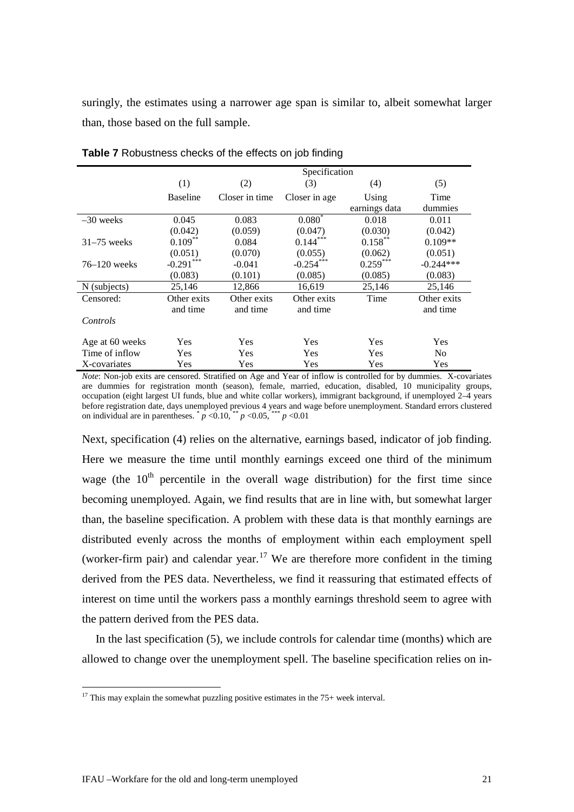suringly, the estimates using a narrower age span is similar to, albeit somewhat larger than, those based on the full sample.

|                 |                 |                | Specification |               |                |
|-----------------|-----------------|----------------|---------------|---------------|----------------|
|                 | (1)             | (2)            | (3)           | (4)           | (5)            |
|                 | <b>Baseline</b> | Closer in time | Closer in age | Using         | Time           |
|                 |                 |                |               | earnings data | dummies        |
| $-30$ weeks     | 0.045           | 0.083          | $0.080^{*}$   | 0.018         | 0.011          |
|                 | (0.042)         | (0.059)        | (0.047)       | (0.030)       | (0.042)        |
| $31-75$ weeks   | $0.109***$      | 0.084          | $0.144***$    | $0.158***$    | $0.109**$      |
|                 | (0.051)         | (0.070)        | (0.055)       | (0.062)       | (0.051)        |
| $76-120$ weeks  | $-0.291***$     | $-0.041$       | $-0.254***$   | $0.259***$    | $-0.244***$    |
|                 | (0.083)         | (0.101)        | (0.085)       | (0.085)       | (0.083)        |
| N (subjects)    | 25,146          | 12,866         | 16,619        | 25,146        | 25,146         |
| Censored:       | Other exits     | Other exits    | Other exits   | Time          | Other exits    |
|                 | and time        | and time       | and time      |               | and time       |
| Controls        |                 |                |               |               |                |
| Age at 60 weeks | Yes             | Yes            | Yes           | Yes           | Yes            |
| Time of inflow  | Yes             | Yes            | Yes           | Yes           | N <sub>0</sub> |
| X-covariates    | Yes             | Yes            | Yes           | Yes           | Yes            |

<span id="page-20-0"></span>**Table 7** Robustness checks of the effects on job finding

*Note*: Non-job exits are censored. Stratified on Age and Year of inflow is controlled for by dummies. X-covariates are dummies for registration month (season), female, married, education, disabled, 10 municipality groups, occupation (eight largest UI funds, blue and white collar workers), immigrant background, if unemployed 2–4 years before registration date, days unemployed previous 4 years and wage before unemployment. Standard errors clustered on individual are in parentheses.  $\binom{p}{p}$  <0.10,  $\binom{p}{p}$  <0.05,  $\binom{p}{p}$  <0.01

Next, specification (4) relies on the alternative, earnings based, indicator of job finding. Here we measure the time until monthly earnings exceed one third of the minimum wage (the  $10<sup>th</sup>$  percentile in the overall wage distribution) for the first time since becoming unemployed. Again, we find results that are in line with, but somewhat larger than, the baseline specification. A problem with these data is that monthly earnings are distributed evenly across the months of employment within each employment spell (worker-firm pair) and calendar year.<sup>[17](#page-20-1)</sup> We are therefore more confident in the timing derived from the PES data. Nevertheless, we find it reassuring that estimated effects of interest on time until the workers pass a monthly earnings threshold seem to agree with the pattern derived from the PES data.

In the last specification (5), we include controls for calendar time (months) which are allowed to change over the unemployment spell. The baseline specification relies on in-

<span id="page-20-1"></span><sup>&</sup>lt;sup>17</sup> This may explain the somewhat puzzling positive estimates in the  $75+$  week interval.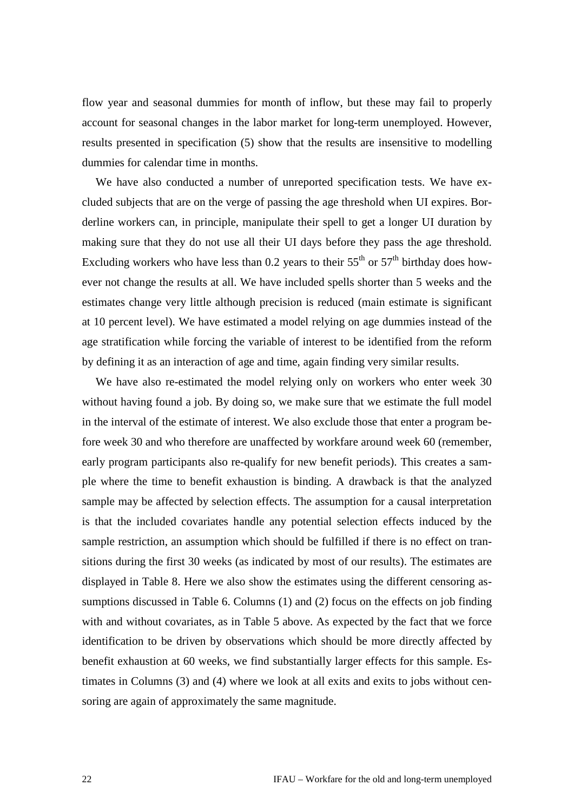flow year and seasonal dummies for month of inflow, but these may fail to properly account for seasonal changes in the labor market for long-term unemployed. However, results presented in specification (5) show that the results are insensitive to modelling dummies for calendar time in months.

We have also conducted a number of unreported specification tests. We have excluded subjects that are on the verge of passing the age threshold when UI expires. Borderline workers can, in principle, manipulate their spell to get a longer UI duration by making sure that they do not use all their UI days before they pass the age threshold. Excluding workers who have less than 0.2 years to their  $55<sup>th</sup>$  or  $57<sup>th</sup>$  birthday does however not change the results at all. We have included spells shorter than 5 weeks and the estimates change very little although precision is reduced (main estimate is significant at 10 percent level). We have estimated a model relying on age dummies instead of the age stratification while forcing the variable of interest to be identified from the reform by defining it as an interaction of age and time, again finding very similar results.

We have also re-estimated the model relying only on workers who enter week 30 without having found a job. By doing so, we make sure that we estimate the full model in the interval of the estimate of interest. We also exclude those that enter a program before week 30 and who therefore are unaffected by workfare around week 60 (remember, early program participants also re-qualify for new benefit periods). This creates a sample where the time to benefit exhaustion is binding. A drawback is that the analyzed sample may be affected by selection effects. The assumption for a causal interpretation is that the included covariates handle any potential selection effects induced by the sample restriction, an assumption which should be fulfilled if there is no effect on transitions during the first 30 weeks (as indicated by most of our results). The estimates are displayed in [Table 8.](#page-22-1) Here we also show the estimates using the different censoring assumptions discussed in [Table 6.](#page-19-1) Columns (1) and (2) focus on the effects on job finding with and without covariates, as in [Table 5](#page-17-0) above. As expected by the fact that we force identification to be driven by observations which should be more directly affected by benefit exhaustion at 60 weeks, we find substantially larger effects for this sample. Estimates in Columns (3) and (4) where we look at all exits and exits to jobs without censoring are again of approximately the same magnitude.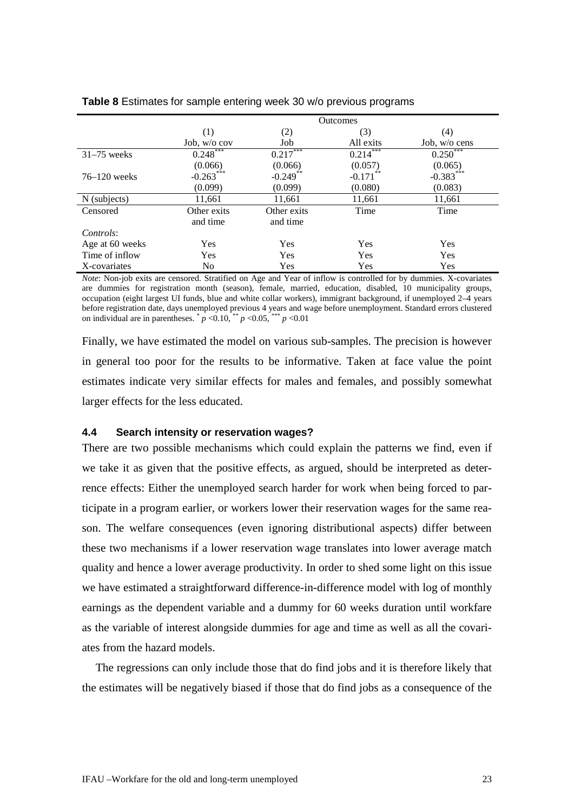|                 | <b>Outcomes</b> |             |             |                 |
|-----------------|-----------------|-------------|-------------|-----------------|
|                 | (1)             | (2)         | (3)         | (4)             |
|                 | Job, $w/o$ cov  | Job         | All exits   | Job, $w/o$ cens |
| $31-75$ weeks   | $0.248***$      | $0.217***$  | $0.214***$  | $0.250***$      |
|                 | (0.066)         | (0.066)     | (0.057)     | (0.065)         |
| $76-120$ weeks  | $-0.263***$     | $-0.249$ ** | $-0.171$ ** | $-0.383***$     |
|                 | (0.099)         | (0.099)     | (0.080)     | (0.083)         |
| N (subjects)    | 11,661          | 11,661      | 11,661      | 11,661          |
| Censored        | Other exits     | Other exits | Time        | Time            |
|                 | and time        | and time    |             |                 |
| Controls:       |                 |             |             |                 |
| Age at 60 weeks | Yes             | Yes         | Yes         | Yes             |
| Time of inflow  | Yes             | Yes         | Yes         | Yes             |
| X-covariates    | No              | Yes         | Yes         | Yes             |

### <span id="page-22-1"></span>**Table 8** Estimates for sample entering week 30 w/o previous programs

*Note*: Non-job exits are censored. Stratified on Age and Year of inflow is controlled for by dummies. X-covariates are dummies for registration month (season), female, married, education, disabled, 10 municipality groups, occupation (eight largest UI funds, blue and white collar workers), immigrant background, if unemployed 2–4 years before registration date, days unemployed previous 4 years and wage before unemployment. Standard errors clustered on individual are in parentheses.  $\binom{p}{p}$  < 0.10,  $\binom{**}{p}$  < 0.05,  $\binom{***}{p}$  < 0.01

Finally, we have estimated the model on various sub-samples. The precision is however in general too poor for the results to be informative. Taken at face value the point estimates indicate very similar effects for males and females, and possibly somewhat larger effects for the less educated.

### <span id="page-22-0"></span>**4.4 Search intensity or reservation wages?**

There are two possible mechanisms which could explain the patterns we find, even if we take it as given that the positive effects, as argued, should be interpreted as deterrence effects: Either the unemployed search harder for work when being forced to participate in a program earlier, or workers lower their reservation wages for the same reason. The welfare consequences (even ignoring distributional aspects) differ between these two mechanisms if a lower reservation wage translates into lower average match quality and hence a lower average productivity. In order to shed some light on this issue we have estimated a straightforward difference-in-difference model with log of monthly earnings as the dependent variable and a dummy for 60 weeks duration until workfare as the variable of interest alongside dummies for age and time as well as all the covariates from the hazard models.

The regressions can only include those that do find jobs and it is therefore likely that the estimates will be negatively biased if those that do find jobs as a consequence of the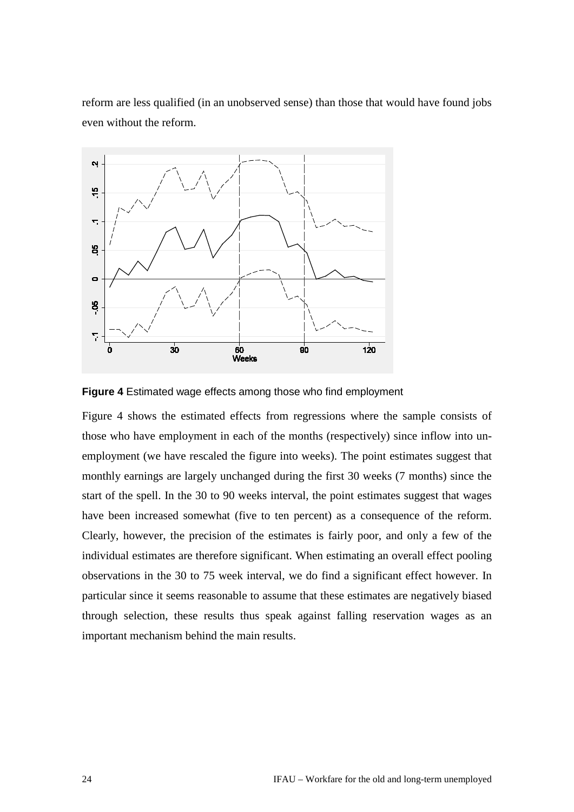reform are less qualified (in an unobserved sense) than those that would have found jobs even without the reform.



<span id="page-23-0"></span>

[Figure 4](#page-23-0) shows the estimated effects from regressions where the sample consists of those who have employment in each of the months (respectively) since inflow into unemployment (we have rescaled the figure into weeks). The point estimates suggest that monthly earnings are largely unchanged during the first 30 weeks (7 months) since the start of the spell. In the 30 to 90 weeks interval, the point estimates suggest that wages have been increased somewhat (five to ten percent) as a consequence of the reform. Clearly, however, the precision of the estimates is fairly poor, and only a few of the individual estimates are therefore significant. When estimating an overall effect pooling observations in the 30 to 75 week interval, we do find a significant effect however. In particular since it seems reasonable to assume that these estimates are negatively biased through selection, these results thus speak against falling reservation wages as an important mechanism behind the main results.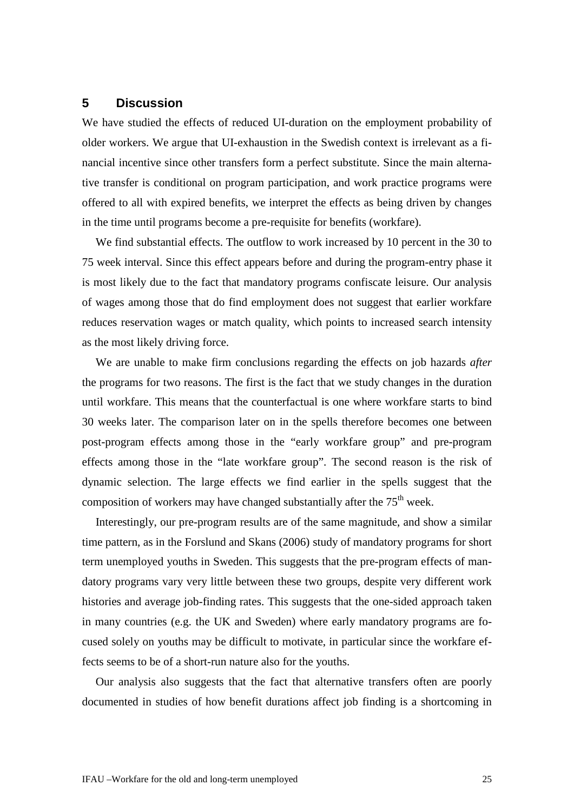# <span id="page-24-0"></span>**5 Discussion**

We have studied the effects of reduced UI-duration on the employment probability of older workers. We argue that UI-exhaustion in the Swedish context is irrelevant as a financial incentive since other transfers form a perfect substitute. Since the main alternative transfer is conditional on program participation, and work practice programs were offered to all with expired benefits, we interpret the effects as being driven by changes in the time until programs become a pre-requisite for benefits (workfare).

We find substantial effects. The outflow to work increased by 10 percent in the 30 to 75 week interval. Since this effect appears before and during the program-entry phase it is most likely due to the fact that mandatory programs confiscate leisure. Our analysis of wages among those that do find employment does not suggest that earlier workfare reduces reservation wages or match quality, which points to increased search intensity as the most likely driving force.

We are unable to make firm conclusions regarding the effects on job hazards *after* the programs for two reasons. The first is the fact that we study changes in the duration until workfare. This means that the counterfactual is one where workfare starts to bind 30 weeks later. The comparison later on in the spells therefore becomes one between post-program effects among those in the "early workfare group" and pre-program effects among those in the "late workfare group". The second reason is the risk of dynamic selection. The large effects we find earlier in the spells suggest that the composition of workers may have changed substantially after the  $75<sup>th</sup>$  week.

Interestingly, our pre-program results are of the same magnitude, and show a similar time pattern, as in the Forslund and Skans (2006) study of mandatory programs for short term unemployed youths in Sweden. This suggests that the pre-program effects of mandatory programs vary very little between these two groups, despite very different work histories and average job-finding rates. This suggests that the one-sided approach taken in many countries (e.g. the UK and Sweden) where early mandatory programs are focused solely on youths may be difficult to motivate, in particular since the workfare effects seems to be of a short-run nature also for the youths.

Our analysis also suggests that the fact that alternative transfers often are poorly documented in studies of how benefit durations affect job finding is a shortcoming in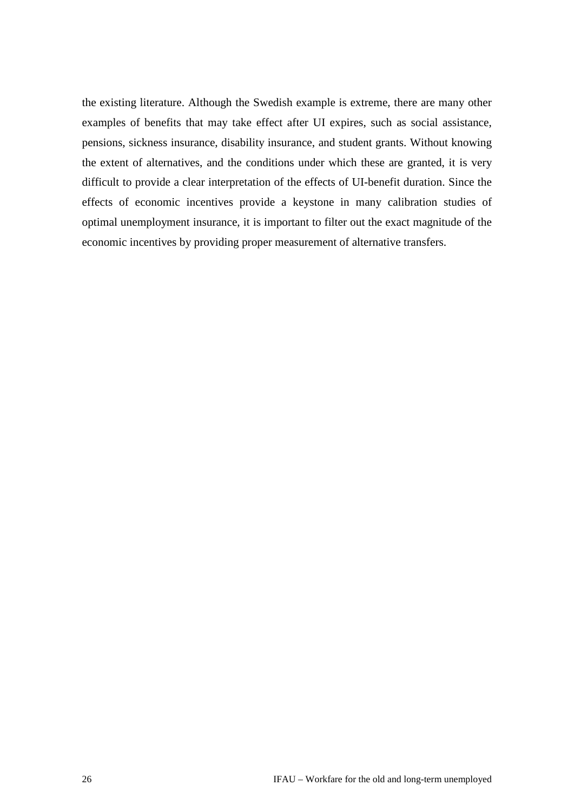the existing literature. Although the Swedish example is extreme, there are many other examples of benefits that may take effect after UI expires, such as social assistance, pensions, sickness insurance, disability insurance, and student grants. Without knowing the extent of alternatives, and the conditions under which these are granted, it is very difficult to provide a clear interpretation of the effects of UI-benefit duration. Since the effects of economic incentives provide a keystone in many calibration studies of optimal unemployment insurance, it is important to filter out the exact magnitude of the economic incentives by providing proper measurement of alternative transfers.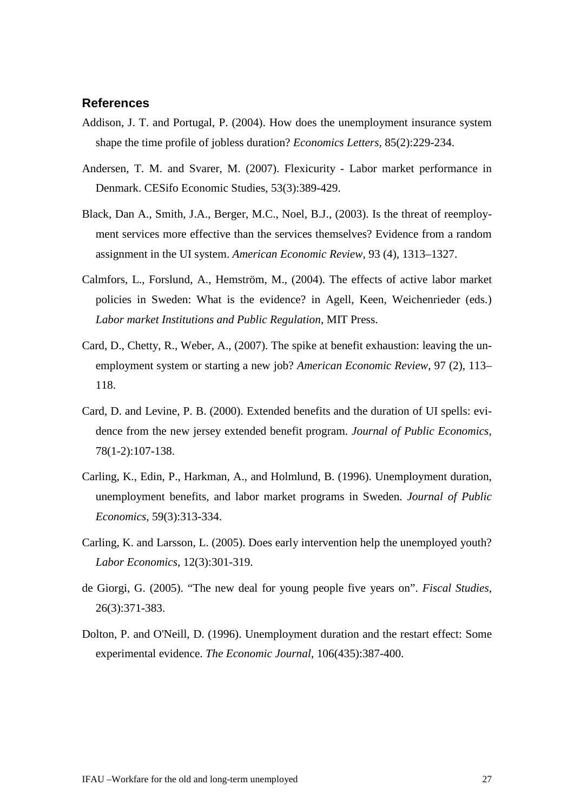# <span id="page-26-0"></span>**References**

- Addison, J. T. and Portugal, P. (2004). How does the unemployment insurance system shape the time profile of jobless duration? *Economics Letters*, 85(2):229-234.
- Andersen, T. M. and Svarer, M. (2007). Flexicurity Labor market performance in Denmark. CESifo Economic Studies, 53(3):389-429.
- Black, Dan A., Smith, J.A., Berger, M.C., Noel, B.J., (2003). Is the threat of reemployment services more effective than the services themselves? Evidence from a random assignment in the UI system. *American Economic Review,* 93 (4), 1313–1327.
- Calmfors, L., Forslund, A., Hemström, M., (2004). The effects of active labor market policies in Sweden: What is the evidence? in Agell, Keen, Weichenrieder (eds.) *Labor market Institutions and Public Regulation*, MIT Press.
- Card, D., Chetty, R., Weber, A., (2007). The spike at benefit exhaustion: leaving the unemployment system or starting a new job? *American Economic Review*, 97 (2), 113– 118.
- Card, D. and Levine, P. B. (2000). Extended benefits and the duration of UI spells: evidence from the new jersey extended benefit program. *Journal of Public Economics*, 78(1-2):107-138.
- Carling, K., Edin, P., Harkman, A., and Holmlund, B. (1996). Unemployment duration, unemployment benefits, and labor market programs in Sweden. *Journal of Public Economics*, 59(3):313-334.
- Carling, K. and Larsson, L. (2005). Does early intervention help the unemployed youth? *Labor Economics*, 12(3):301-319.
- de Giorgi, G. (2005). "The new deal for young people five years on". *Fiscal Studies*, 26(3):371-383.
- Dolton, P. and O'Neill, D. (1996). Unemployment duration and the restart effect: Some experimental evidence. *The Economic Journal*, 106(435):387-400.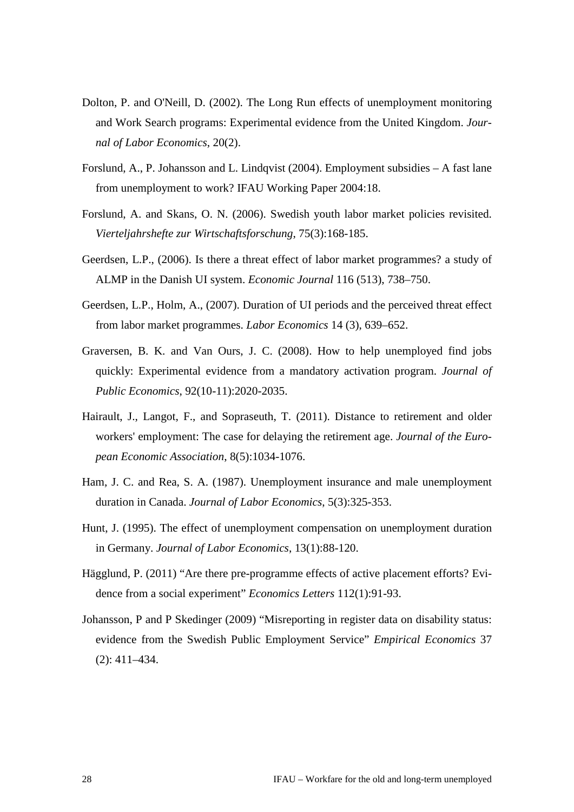- Dolton, P. and O'Neill, D. (2002). The Long Run effects of unemployment monitoring and Work Search programs: Experimental evidence from the United Kingdom. *Journal of Labor Economics*, 20(2).
- Forslund, A., P. Johansson and L. Lindqvist (2004). Employment subsidies A fast lane from unemployment to work? IFAU Working Paper 2004:18.
- Forslund, A. and Skans, O. N. (2006). Swedish youth labor market policies revisited. *Vierteljahrshefte zur Wirtschaftsforschung*, 75(3):168-185.
- Geerdsen, L.P., (2006). Is there a threat effect of labor market programmes? a study of ALMP in the Danish UI system. *Economic Journal* 116 (513), 738–750.
- Geerdsen, L.P., Holm, A., (2007). Duration of UI periods and the perceived threat effect from labor market programmes. *Labor Economics* 14 (3), 639–652.
- Graversen, B. K. and Van Ours, J. C. (2008). How to help unemployed find jobs quickly: Experimental evidence from a mandatory activation program. *Journal of Public Economics*, 92(10-11):2020-2035.
- Hairault, J., Langot, F., and Sopraseuth, T. (2011). Distance to retirement and older workers' employment: The case for delaying the retirement age. *Journal of the European Economic Association*, 8(5):1034-1076.
- Ham, J. C. and Rea, S. A. (1987). Unemployment insurance and male unemployment duration in Canada. *Journal of Labor Economics*, 5(3):325-353.
- Hunt, J. (1995). The effect of unemployment compensation on unemployment duration in Germany. *Journal of Labor Economics*, 13(1):88-120.
- Hägglund, P. (2011) "Are there pre-programme effects of active placement efforts? Evidence from a social experiment" *Economics Letters* 112(1):91-93.
- Johansson, P and P Skedinger (2009) "Misreporting in register data on disability status: evidence from the Swedish Public Employment Service" *Empirical Economics* 37 (2): 411–434.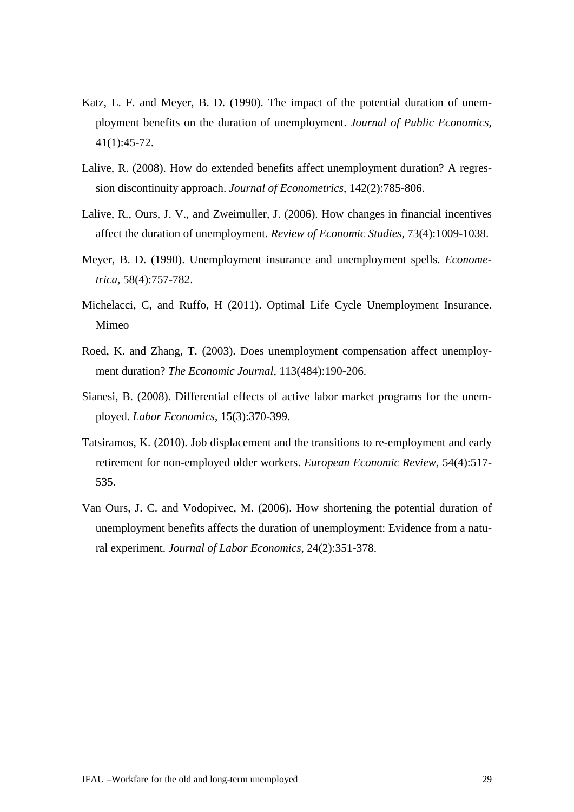- Katz, L. F. and Meyer, B. D. (1990). The impact of the potential duration of unemployment benefits on the duration of unemployment. *Journal of Public Economics*, 41(1):45-72.
- Lalive, R. (2008). How do extended benefits affect unemployment duration? A regression discontinuity approach. *Journal of Econometrics*, 142(2):785-806.
- Lalive, R., Ours, J. V., and Zweimuller, J. (2006). How changes in financial incentives affect the duration of unemployment. *Review of Economic Studies*, 73(4):1009-1038.
- Meyer, B. D. (1990). Unemployment insurance and unemployment spells. *Econometrica,* 58(4):757-782.
- Michelacci, C, and Ruffo, H (2011). Optimal Life Cycle Unemployment Insurance. Mimeo
- Roed, K. and Zhang, T. (2003). Does unemployment compensation affect unemployment duration? *The Economic Journal*, 113(484):190-206.
- Sianesi, B. (2008). Differential effects of active labor market programs for the unemployed. *Labor Economics*, 15(3):370-399.
- Tatsiramos, K. (2010). Job displacement and the transitions to re-employment and early retirement for non-employed older workers. *European Economic Review*, 54(4):517- 535.
- Van Ours, J. C. and Vodopivec, M. (2006). How shortening the potential duration of unemployment benefits affects the duration of unemployment: Evidence from a natural experiment. *Journal of Labor Economics*, 24(2):351-378.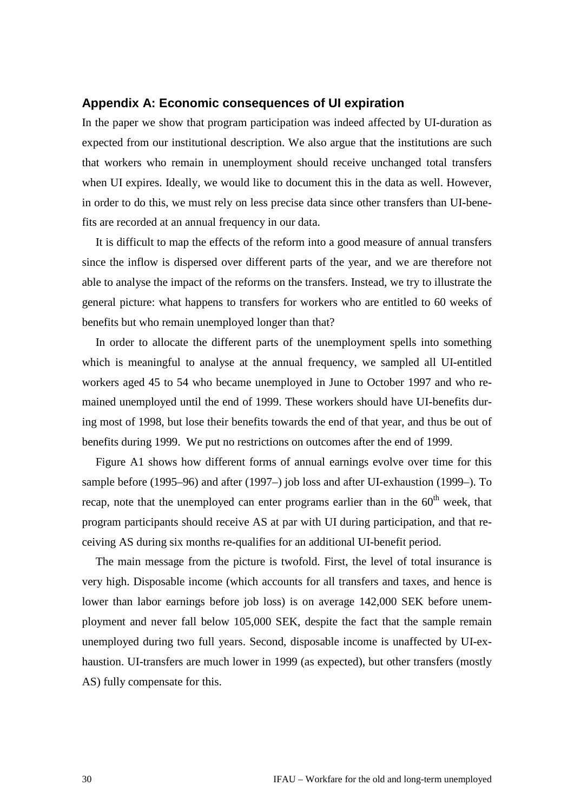### <span id="page-29-0"></span>**Appendix A: Economic consequences of UI expiration**

In the paper we show that program participation was indeed affected by UI-duration as expected from our institutional description. We also argue that the institutions are such that workers who remain in unemployment should receive unchanged total transfers when UI expires. Ideally, we would like to document this in the data as well. However, in order to do this, we must rely on less precise data since other transfers than UI-benefits are recorded at an annual frequency in our data.

It is difficult to map the effects of the reform into a good measure of annual transfers since the inflow is dispersed over different parts of the year, and we are therefore not able to analyse the impact of the reforms on the transfers. Instead, we try to illustrate the general picture: what happens to transfers for workers who are entitled to 60 weeks of benefits but who remain unemployed longer than that?

In order to allocate the different parts of the unemployment spells into something which is meaningful to analyse at the annual frequency, we sampled all UI-entitled workers aged 45 to 54 who became unemployed in June to October 1997 and who remained unemployed until the end of 1999. These workers should have UI-benefits during most of 1998, but lose their benefits towards the end of that year, and thus be out of benefits during 1999. We put no restrictions on outcomes after the end of 1999.

[Figure A1](#page-30-0) shows how different forms of annual earnings evolve over time for this sample before (1995–96) and after (1997–) job loss and after UI-exhaustion (1999–). To recap, note that the unemployed can enter programs earlier than in the  $60<sup>th</sup>$  week, that program participants should receive AS at par with UI during participation, and that receiving AS during six months re-qualifies for an additional UI-benefit period.

The main message from the picture is twofold. First, the level of total insurance is very high. Disposable income (which accounts for all transfers and taxes, and hence is lower than labor earnings before job loss) is on average 142,000 SEK before unemployment and never fall below 105,000 SEK, despite the fact that the sample remain unemployed during two full years. Second, disposable income is unaffected by UI-exhaustion. UI-transfers are much lower in 1999 (as expected), but other transfers (mostly AS) fully compensate for this.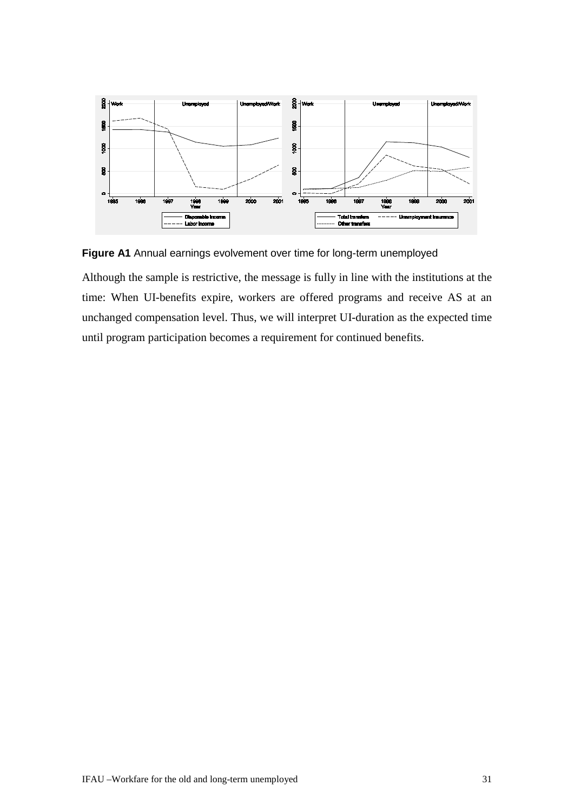

<span id="page-30-0"></span>**Figure A1** Annual earnings evolvement over time for long-term unemployed

Although the sample is restrictive, the message is fully in line with the institutions at the time: When UI-benefits expire, workers are offered programs and receive AS at an unchanged compensation level. Thus, we will interpret UI-duration as the expected time until program participation becomes a requirement for continued benefits.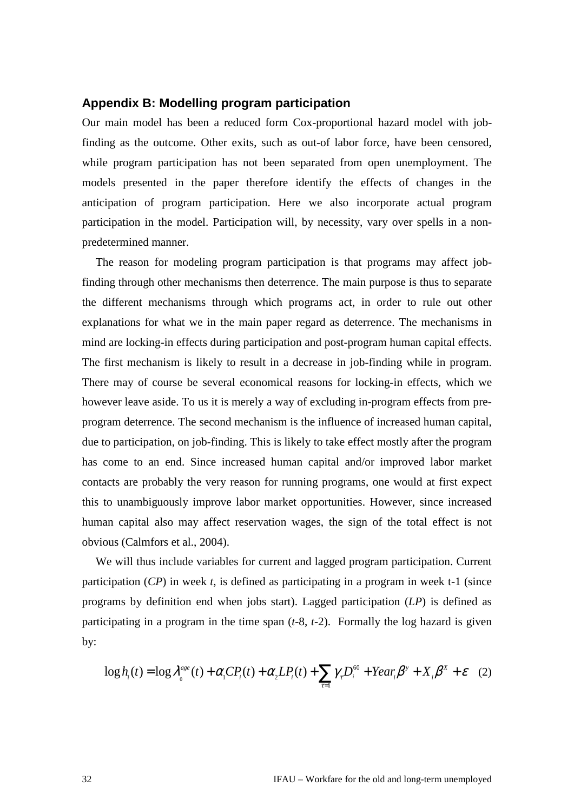# <span id="page-31-0"></span>**Appendix B: Modelling program participation**

Our main model has been a reduced form Cox-proportional hazard model with jobfinding as the outcome. Other exits, such as out-of labor force, have been censored, while program participation has not been separated from open unemployment. The models presented in the paper therefore identify the effects of changes in the anticipation of program participation. Here we also incorporate actual program participation in the model. Participation will, by necessity, vary over spells in a nonpredetermined manner.

The reason for modeling program participation is that programs may affect jobfinding through other mechanisms then deterrence. The main purpose is thus to separate the different mechanisms through which programs act, in order to rule out other explanations for what we in the main paper regard as deterrence. The mechanisms in mind are locking-in effects during participation and post-program human capital effects. The first mechanism is likely to result in a decrease in job-finding while in program. There may of course be several economical reasons for locking-in effects, which we however leave aside. To us it is merely a way of excluding in-program effects from preprogram deterrence. The second mechanism is the influence of increased human capital, due to participation, on job-finding. This is likely to take effect mostly after the program has come to an end. Since increased human capital and/or improved labor market contacts are probably the very reason for running programs, one would at first expect this to unambiguously improve labor market opportunities. However, since increased human capital also may affect reservation wages, the sign of the total effect is not obvious (Calmfors et al., 2004).

We will thus include variables for current and lagged program participation. Current participation (*CP*) in week *t*, is defined as participating in a program in week t-1 (since programs by definition end when jobs start). Lagged participation (*LP*) is defined as participating in a program in the time span (*t*-8, *t*-2). Formally the log hazard is given by:

$$
\log h_i(t) = \log l_0^{age}(t) + a_1 C P_i(t) + a_2 L P_i(t) + \sum_{t=1}^{8} g_t D_i^{60} + Year_i b^{\nu} + X_i b^{\nu} + \mathcal{C}
$$
 (2)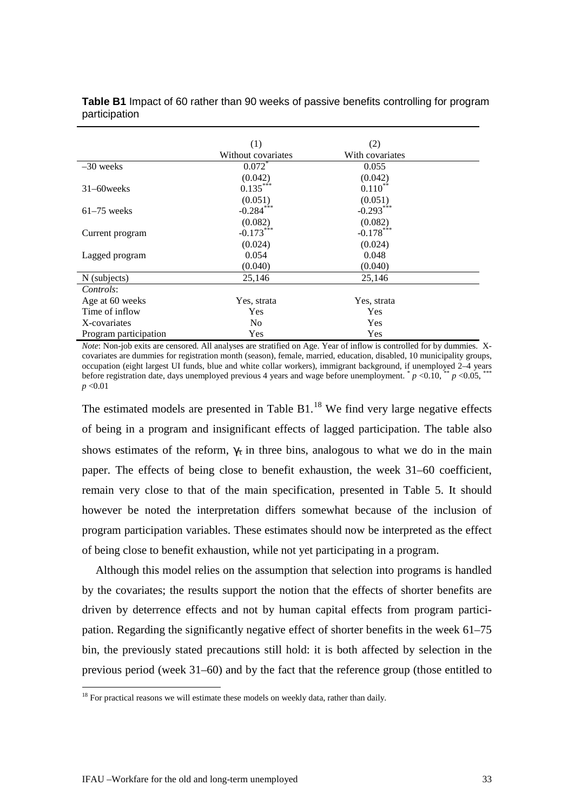|                       | (1)                  | (2)             |  |
|-----------------------|----------------------|-----------------|--|
|                       | Without covariates   | With covariates |  |
| $-30$ weeks           | $0.072$ <sup>*</sup> | 0.055           |  |
|                       | (0.042)              | (0.042)         |  |
| $31-60$ weeks         | $0.135***$           | $0.110^{**}$    |  |
|                       | (0.051)              | (0.051)         |  |
| $61-75$ weeks         | $-0.284***$          | $-0.293***$     |  |
|                       | (0.082)              | (0.082)         |  |
| Current program       | $-0.173***$          | $-0.178***$     |  |
|                       | (0.024)              | (0.024)         |  |
| Lagged program        | 0.054                | 0.048           |  |
|                       | (0.040)              | (0.040)         |  |
| N (subjects)          | 25,146               | 25,146          |  |
| Controls:             |                      |                 |  |
| Age at 60 weeks       | Yes, strata          | Yes, strata     |  |
| Time of inflow        | Yes                  | Yes             |  |
| X-covariates          | N <sub>0</sub>       | Yes             |  |
| Program participation | Yes                  | Yes             |  |

<span id="page-32-0"></span>**Table B1** Impact of 60 rather than 90 weeks of passive benefits controlling for program participation

*Note*: Non-job exits are censored. All analyses are stratified on Age. Year of inflow is controlled for by dummies. Xcovariates are dummies for registration month (season), female, married, education, disabled, 10 municipality groups, occupation (eight largest UI funds, blue and white collar workers), immigrant background, if unemployed 2–4 years before registration date, days unemployed previous 4 years and wage before unemployment.  $p < 0.10$ ,  $p < 0.05$ , *p* <0.01

The estimated models are presented in Table  $B1$ .<sup>[18](#page-32-1)</sup> We find very large negative effects of being in a program and insignificant effects of lagged participation. The table also shows estimates of the reform,  $q$  in three bins, analogous to what we do in the main paper. The effects of being close to benefit exhaustion, the week 31–60 coefficient, remain very close to that of the main specification, presented in [Table 5.](#page-17-0) It should however be noted the interpretation differs somewhat because of the inclusion of program participation variables. These estimates should now be interpreted as the effect of being close to benefit exhaustion, while not yet participating in a program.

Although this model relies on the assumption that selection into programs is handled by the covariates; the results support the notion that the effects of shorter benefits are driven by deterrence effects and not by human capital effects from program participation. Regarding the significantly negative effect of shorter benefits in the week 61–75 bin, the previously stated precautions still hold: it is both affected by selection in the previous period (week 31–60) and by the fact that the reference group (those entitled to

<span id="page-32-1"></span> $18$  For practical reasons we will estimate these models on weekly data, rather than daily.